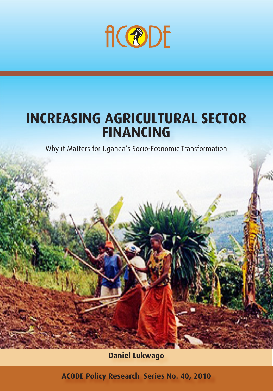

# **INCREASING AGRICULTURAL SECTOR FINANCING**

Why it Matters for Uganda's Socio-Economic Transformation

**Daniel Lukwago**

**ACODE Policy Research Series No. 40, 2010**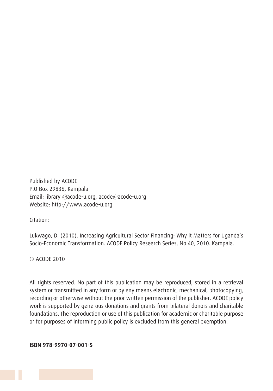Published by ACODE P.O Box 29836, Kampala Email: library @acode-u.org, acode@acode-u.org Website: http://www.acode-u.org

Citation:

Lukwago, D. (2010). Increasing Agricultural Sector Financing: Why it Matters for Uganda's Socio-Economic Transformation. ACODE Policy Research Series, No.40, 2010. Kampala.

© ACODE 2010

All rights reserved. No part of this publication may be reproduced, stored in a retrieval system or transmitted in any form or by any means electronic, mechanical, photocopying, recording or otherwise without the prior written permission of the publisher. ACODE policy work is supported by generous donations and grants from bilateral donors and charitable foundations. The reproduction or use of this publication for academic or charitable purpose or for purposes of informing public policy is excluded from this general exemption.

**ISBN 978-9970-07-001-5**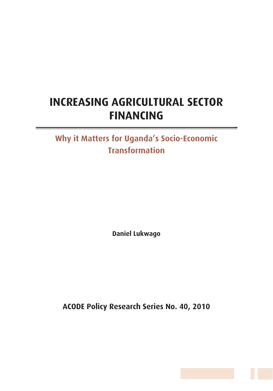## **INCREASING AGRICULTURAL SECTOR FINANCING**

## **Why it Matters for Uganda's Socio-Economic Transformation**

**Daniel Lukwago**

**ACODE Policy Research Series No. 40, 2010**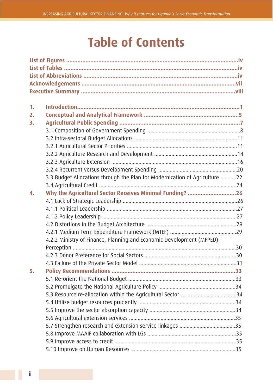# **Table of Contents**

| 1.               |                                                                             |  |
|------------------|-----------------------------------------------------------------------------|--|
| 2.               |                                                                             |  |
| 3.               |                                                                             |  |
|                  |                                                                             |  |
|                  |                                                                             |  |
|                  |                                                                             |  |
|                  |                                                                             |  |
|                  |                                                                             |  |
|                  |                                                                             |  |
|                  | 3.3 Budget Allocations through the Plan for Modernization of Agriculture 22 |  |
|                  |                                                                             |  |
| $\overline{4}$ . | Why the Agricultural Sector Receives Minimal Funding? 26                    |  |
|                  |                                                                             |  |
|                  |                                                                             |  |
|                  |                                                                             |  |
|                  |                                                                             |  |
|                  |                                                                             |  |
|                  | 4.2.2 Ministry of Finance, Planning and Economic Development (MFPED)        |  |
|                  |                                                                             |  |
|                  |                                                                             |  |
|                  |                                                                             |  |
| 5.               |                                                                             |  |
|                  |                                                                             |  |
|                  |                                                                             |  |
|                  |                                                                             |  |
|                  |                                                                             |  |
|                  |                                                                             |  |
|                  |                                                                             |  |
|                  |                                                                             |  |
|                  |                                                                             |  |
|                  |                                                                             |  |
|                  |                                                                             |  |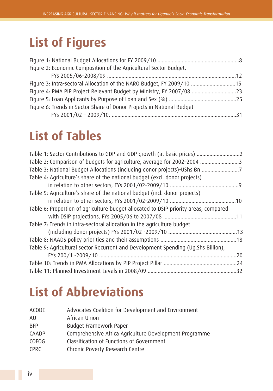# **List of Figures**

| Figure 2: Economic Composition of the Agricultural Sector Budget,     |  |
|-----------------------------------------------------------------------|--|
|                                                                       |  |
| Figure 3: Intra-sectoral Allocation of the NARO Budget, FY 2009/10 15 |  |
| Figure 4: PMA PIP Project Relevant Budget by Ministry, FY 2007/08 23  |  |
|                                                                       |  |
| Figure 6: Trends in Sector Share of Donor Projects in National Budget |  |
|                                                                       |  |

# **List of Tables**

| Table 1: Sector Contributions to GDP and GDP growth (at basic prices)                |     |
|--------------------------------------------------------------------------------------|-----|
| Table 2: Comparison of budgets for agriculture, average for 2002-2004 3              |     |
| Table 3: National Budget Allocations (including donor projects)-UShs Bn 7            |     |
| Table 4: Agriculture's share of the national budget (excl. donor projects)           |     |
|                                                                                      |     |
| Table 5: Agriculture's share of the national budget (incl. donor projects)           |     |
|                                                                                      |     |
| Table 6: Proportion of agriculture budget allocated to DSIP priority areas, compared |     |
|                                                                                      |     |
| Table 7: Trends in intra-sectoral allocation in the agriculture budget               |     |
|                                                                                      |     |
|                                                                                      |     |
| Table 9: Agricultural sector Recurrent and Development Spending (Ug.Shs Billion),    |     |
|                                                                                      | .20 |
|                                                                                      |     |
|                                                                                      |     |

# **List of Abbreviations**

| <b>ACODE</b> | Advocates Coalition for Development and Environment    |
|--------------|--------------------------------------------------------|
| AU           | African Union                                          |
| <b>BFP</b>   | <b>Budget Framework Paper</b>                          |
| CAADP        | Comprehensive Africa Agriculture Development Programme |
| COFOG        | Classification of Functions of Government              |
| <b>CPRC</b>  | Chronic Poverty Research Centre                        |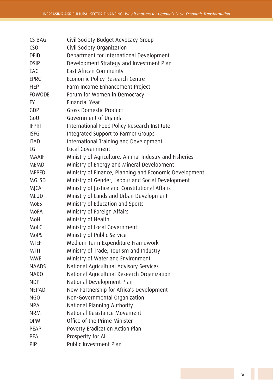| CS BAG          | Civil Society Budget Advocacy Group                    |
|-----------------|--------------------------------------------------------|
| CS <sub>0</sub> | Civil Society Organization                             |
| <b>DFID</b>     | Department for International Development               |
| <b>DSIP</b>     | Development Strategy and Investment Plan               |
| EAC             | East African Community                                 |
| <b>EPRC</b>     | Economic Policy Research Centre                        |
| <b>FIEP</b>     | Farm Income Enhancement Project                        |
| <b>FOWODE</b>   | Forum for Women in Democracy                           |
| <b>FY</b>       | <b>Financial Year</b>                                  |
| GDP             | <b>Gross Domestic Product</b>                          |
| GoU             | Government of Uganda                                   |
| <b>IFPRI</b>    | International Food Policy Research Institute           |
| <b>ISFG</b>     | Integrated Support to Farmer Groups                    |
| <b>ITAD</b>     | International Training and Development                 |
| LG              | Local Government                                       |
| <b>MAAIF</b>    | Ministry of Agriculture, Animal Industry and Fisheries |
| <b>MEMD</b>     | Ministry of Energy and Mineral Development             |
| <b>MFPED</b>    | Ministry of Finance, Planning and Economic Development |
| <b>MGLSD</b>    | Ministry of Gender, Labour and Social Development      |
| <b>MJCA</b>     | Ministry of Justice and Constitutional Affairs         |
| <b>MLUD</b>     | Ministry of Lands and Urban Development                |
| MoES            | Ministry of Education and Sports                       |
| MoFA            | Ministry of Foreign Affairs                            |
| MoH             | Ministry of Health                                     |
| MoLG            | Ministry of Local Government                           |
| <b>MoPS</b>     | Ministry of Public Service                             |
| <b>MTEF</b>     | Medium Term Expenditure Framework                      |
| <b>MTTI</b>     | Ministry of Trade, Tourism and Industry                |
| <b>MWE</b>      | Ministry of Water and Environment                      |
| <b>NAADS</b>    | National Agricultural Advisory Services                |
| <b>NARO</b>     | National Agricultural Research Organization            |
| <b>NDP</b>      | National Development Plan                              |
| <b>NEPAD</b>    | New Partnership for Africa's Development               |
| NG <sub>O</sub> | Non-Governmental Organization                          |
| <b>NPA</b>      | National Planning Authority                            |
| <b>NRM</b>      | National Resistance Movement                           |
| <b>OPM</b>      | Office of the Prime Minister                           |
| PEAP            | Poverty Eradication Action Plan                        |
| PFA             | Prosperity for All                                     |
| PIP             | Public Investment Plan                                 |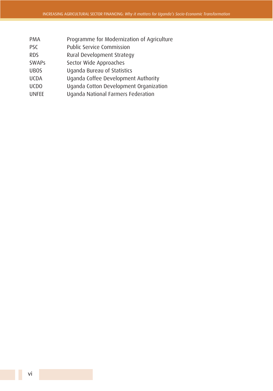- PMA Programme for Modernization of Agriculture
- PSC Public Service Commission
- RDS Rural Development Strategy
- SWAPs Sector Wide Approaches
- UBOS Uganda Bureau of Statistics
- UCDA Uganda Coffee Development Authority
- UCDO Uganda Cotton Development Organization
- UNFEE Uganda National Farmers Federation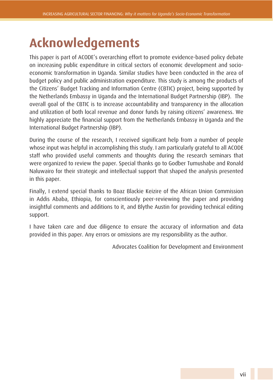## **Acknowledgements**

This paper is part of ACODE's overarching effort to promote evidence-based policy debate on increasing public expenditure in critical sectors of economic development and socioeconomic transformation in Uganda. Similar studies have been conducted in the area of budget policy and public administration expenditure. This study is among the products of the Citizens' Budget Tracking and Information Centre (CBTIC) project, being supported by the Netherlands Embassy in Uganda and the International Budget Partnership (IBP). The overall goal of the CBTIC is to increase accountability and transparency in the allocation and utilization of both local revenue and donor funds by raising citizens' awareness. We highly appreciate the financial support from the Netherlands Embassy in Uganda and the International Budget Partnership (IBP).

During the course of the research, I received significant help from a number of people whose input was helpful in accomplishing this study. I am particularly grateful to all ACODE staff who provided useful comments and thoughts during the research seminars that were organized to review the paper. Special thanks go to Godber Tumushabe and Ronald Naluwairo for their strategic and intellectual support that shaped the analysis presented in this paper.

Finally, I extend special thanks to Boaz Blackie Keizire of the African Union Commission in Addis Ababa, Ethiopia, for conscientiously peer-reviewing the paper and providing insightful comments and additions to it, and Blythe Austin for providing technical editing support.

I have taken care and due diligence to ensure the accuracy of information and data provided in this paper. Any errors or omissions are my responsibility as the author.

Advocates Coalition for Development and Environment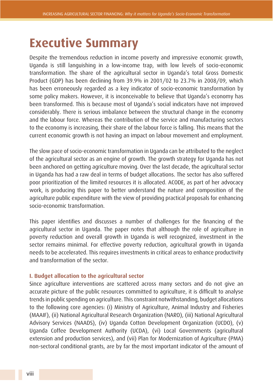## **Executive Summary**

Despite the tremendous reduction in income poverty and impressive economic growth, Uganda is still languishing in a low-income trap, with low levels of socio-economic transformation. The share of the agricultural sector in Uganda's total Gross Domestic Product (GDP) has been declining from 39.9% in 2001/02 to 23.7% in 2008/09, which has been erroneously regarded as a key indicator of socio-economic transformation by some policy makers. However, it is inconceivable to believe that Uganda's economy has been transformed. This is because most of Uganda's social indicators have not improved considerably. There is serious imbalance between the structural change in the economy and the labour force. Whereas the contribution of the service and manufacturing sectors to the economy is increasing, their share of the labour force is falling. This means that the current economic growth is not having an impact on labour movement and employment.

The slow pace of socio-economic transformation in Uganda can be attributed to the neglect of the agricultural sector as an engine of growth. The growth strategy for Uganda has not been anchored on getting agriculture moving. Over the last decade, the agricultural sector in Uganda has had a raw deal in terms of budget allocations. The sector has also suffered poor prioritization of the limited resources it is allocated. ACODE, as part of her advocacy work, is producing this paper to better understand the nature and composition of the agriculture public expenditure with the view of providing practical proposals for enhancing socio-economic transformation.

This paper identifies and discusses a number of challenges for the financing of the agricultural sector in Uganda. The paper notes that although the role of agriculture in poverty reduction and overall growth in Uganda is well recognized, investment in the sector remains minimal. For effective poverty reduction, agricultural growth in Uganda needs to be accelerated. This requires investments in critical areas to enhance productivity and transformation of the sector.

#### **I. Budget allocation to the agricultural sector**

Since agriculture interventions are scattered across many sectors and do not give an accurate picture of the public resources committed to agriculture, it is difficult to analyse trends in public spending on agriculture. This constraint notwithstanding, budget allocations to the following core agencies: (i) Ministry of Agriculture, Animal Industry and Fisheries (MAAIF), (ii) National Agricultural Research Organization (NARO), (iii) National Agricultural Advisory Services (NAADS), (iv) Uganda Cotton Development Organization (UCDO), (v) Uganda Coffee Development Authority (UCDA), (vi) Local Governments (agricultural extension and production services), and (vii) Plan for Modernization of Agriculture (PMA) non-sectoral conditional grants, are by far the most important indicator of the amount of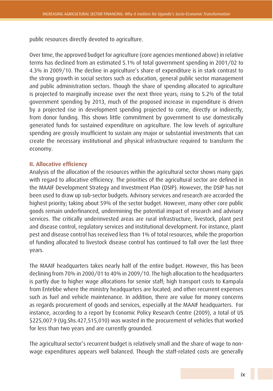public resources directly devoted to agriculture.

Over time, the approved budget for agriculture (core agencies mentioned above) in relative terms has declined from an estimated 5.1% of total government spending in 2001/02 to 4.3% in 2009/10. The decline in agriculture's share of expenditure is in stark contrast to the strong growth in social sectors such as education, general public sector management and public administration sectors. Though the share of spending allocated to agriculture is projected to marginally increase over the next three years; rising to 5.2% of the total government spending by 2013, much of the proposed increase in expenditure is driven by a projected rise in development spending projected to come, directly or indirectly, from donor funding. This shows little commitment by government to use domestically generated funds for sustained expenditure on agriculture. The low levels of agriculture spending are grossly insufficient to sustain any major or substantial investments that can create the necessary institutional and physical infrastructure required to transform the economy.

#### **II. Allocative efficiency**

Analysis of the allocation of the resources within the agricultural sector shows many gaps with regard to allocative efficiency. The priorities of the agricultural sector are defined in the MAAIF Development Strategy and Investment Plan (DSIP). However, the DSIP has not been used to draw up sub-sector budgets. Advisory services and research are accorded the highest priority; taking about 59% of the sector budget. However, many other core public goods remain underfinanced, undermining the potential impact of research and advisory services. The critically underinvested areas are rural infrastructure, livestock, plant pest and disease control, regulatory services and institutional development. For instance, plant pest and disease control has received less than 1% of total resources, while the proportion of funding allocated to livestock disease control has continued to fall over the last three years.

The MAAIF headquarters takes nearly half of the entire budget. However, this has been declining from 70% in 2000/01 to 40% in 2009/10. The high allocation to the headquarters is partly due to higher wage allocations for senior staff; high transport costs to Kampala from Entebbe where the ministry headquarters are located; and other recurrent expenses such as fuel and vehicle maintenance. In addition, there are value for money concerns as regards procurement of goods and services, especially at the MAAIF headquarters. For instance, according to a report by Economic Policy Research Centre (2009), a total of US \$225,007.9 (Ug.Shs.427,515,010) was wasted in the procurement of vehicles that worked for less than two years and are currently grounded.

The agricultural sector's recurrent budget is relatively small and the share of wage to nonwage expenditures appears well balanced. Though the staff-related costs are generally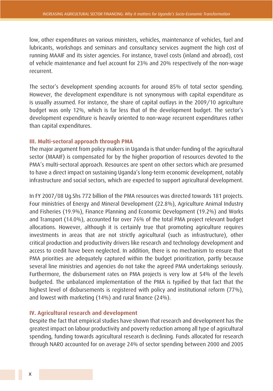low, other expenditures on various ministers, vehicles, maintenance of vehicles, fuel and lubricants, workshops and seminars and consultancy services augment the high cost of running MAAIF and its sister agencies. For instance, travel costs (inland and abroad), cost of vehicle maintenance and fuel account for 23% and 20% respectively of the non-wage recurrent.

The sector's development spending accounts for around 85% of total sector spending. However, the development expenditure is not synonymous with capital expenditure as is usually assumed. For instance, the share of capital outlays in the 2009/10 agriculture budget was only 12%, which is far less that of the development budget. The sector's development expenditure is heavily oriented to non-wage recurrent expenditures rather than capital expenditures.

#### **III. Multi-sectoral approach through PMA**

The major argument from policy makers in Uganda is that under-funding of the agricultural sector (MAAIF) is compensated for by the higher proportion of resources devoted to the PMA's multi-sectoral approach. Resources are spent on other sectors which are presumed to have a direct impact on sustaining Uganda's long-term economic development, notably infrastructure and social sectors, which are expected to support agricultural development.

In FY 2007/08 Ug.Shs 772 billion of the PMA resources was directed towards 181 projects. Four ministries of Energy and Mineral Development (22.8%), Agriculture Animal Industry and Fisheries (19.9%), Finance Planning and Economic Development (19.2%) and Works and Transport (14.0%), accounted for over 76% of the total PMA project relevant budget allocations. However, although it is certainly true that promoting agriculture requires investments in areas that are not strictly agricultural (such as infrastructure), other critical production and productivity drivers like research and technology development and access to credit have been neglected. In addition, there is no mechanism to ensure that PMA priorities are adequately captured within the budget prioritization, partly because several line ministries and agencies do not take the agreed PMA undertakings seriously. Furthermore, the disbursement rates on PMA projects is very low at 54% of the levels budgeted. The unbalanced implementation of the PMA is typified by that fact that the highest level of disbursements is registered with policy and institutional reform (77%), and lowest with marketing (14%) and rural finance (24%).

#### **IV. Agricultural research and development**

Despite the fact that empirical studies have shown that research and development has the greatest impact on labour productivity and poverty reduction among all type of agricultural spending, funding towards agricultural research is declining. Funds allocated for research through NARO accounted for on average 24% of sector spending between 2000 and 2005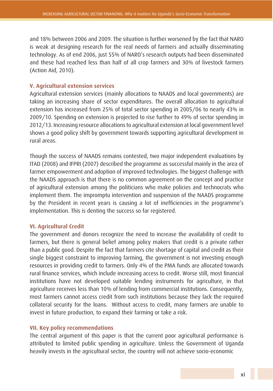and 18% between 2006 and 2009. The situation is further worsened by the fact that NARO is weak at designing research for the real needs of farmers and actually disseminating technology. As of end 2006, just 55% of NARO's research outputs had been disseminated and these had reached less than half of all crop farmers and 30% of livestock farmers (Action Aid, 2010).

#### **V. Agricultural extension services**

Agricultural extension services (mainly allocations to NAADS and local governments) are taking an increasing share of sector expenditures. The overall allocation to agricultural extension has increased from 25% of total sector spending in 2005/06 to nearly 43% in 2009/10. Spending on extension is projected to rise further to 49% of sector spending in 2012/13. Increasing resource allocations to agricultural extension at local government level shows a good policy shift by government towards supporting agricultural development in rural areas.

Though the success of NAADS remains contested, two major independent evaluations by ITAD (2008) and IFPRI (2007) described the programme as successful mainly in the area of farmer empowerment and adoption of improved technologies. The biggest challenge with the NAADS approach is that there is no common agreement on the concept and practice of agricultural extension among the politicians who make policies and technocrats who implement them. The impromptu intervention and suspension of the NAADS programme by the President in recent years is causing a lot of inefficiencies in the programme's implementation. This is denting the success so far registered.

#### **VI. Agricultural Credit**

The government and donors recognize the need to increase the availability of credit to farmers, but there is general belief among policy makers that credit is a private rather than a public good. Despite the fact that farmers cite shortage of capital and credit as their single biggest constraint to improving farming, the government is not investing enough resources in providing credit to farmers. Only 4% of the PMA funds are allocated towards rural finance services, which include increasing access to credit. Worse still, most financial institutions have not developed suitable lending instruments for agriculture, in that agriculture receives less than 10% of lending from commercial institutions. Consequently, most farmers cannot access credit from such institutions because they lack the required collateral security for the loans. Without access to credit, many farmers are unable to invest in future production, to expand their farming or take a risk.

#### **VII. Key policy recommendations**

The central argument of this paper is that the current poor agricultural performance is attributed to limited public spending in agriculture. Unless the Government of Uganda heavily invests in the agricultural sector, the country will not achieve socio-economic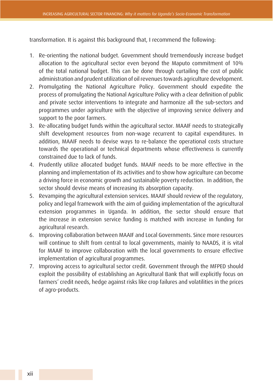transformation. It is against this background that, I recommend the following:

- 1. Re-orienting the national budget. Government should tremendously increase budget allocation to the agricultural sector even beyond the Maputo commitment of 10% of the total national budget. This can be done through curtailing the cost of public administration and prudent utilization of oil revenues towards agriculture development.
- 2. Promulgating the National Agriculture Policy. Government should expedite the process of promulgating the National Agriculture Policy with a clear definition of public and private sector interventions to integrate and harmonize all the sub-sectors and programmes under agriculture with the objective of improving service delivery and support to the poor farmers.
- 3. Re-allocating budget funds within the agricultural sector. MAAIF needs to strategically shift development resources from non-wage recurrent to capital expenditures. In addition, MAAIF needs to devise ways to re-balance the operational costs structure towards the operational or technical departments whose effectiveness is currently constrained due to lack of funds.
- 4. Prudently utilize allocated budget funds. MAAIF needs to be more effective in the planning and implementation of its activities and to show how agriculture can become a driving force in economic growth and sustainable poverty reduction. In addition, the sector should devise means of increasing its absorption capacity.
- 5. Revamping the agricultural extension services. MAAIF should review of the regulatory, policy and legal framework with the aim of guiding implementation of the agricultural extension programmes in Uganda. In addition, the sector should ensure that the increase in extension service funding is matched with increase in funding for agricultural research.
- 6. Improving collaboration between MAAIF and Local Governments. Since more resources will continue to shift from central to local governments, mainly to NAADS, it is vital for MAAIF to improve collaboration with the local governments to ensure effective implementation of agricultural programmes.
- 7. Improving access to agricultural sector credit. Government through the MFPED should exploit the possibility of establishing an Agricultural Bank that will explicitly focus on farmers' credit needs, hedge against risks like crop failures and volatilities in the prices of agro-products.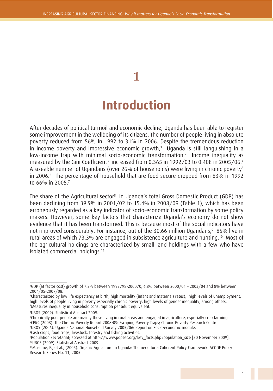# **Introduction**

**1**

After decades of political turmoil and economic decline, Uganda has been able to register some improvement in the wellbeing of its citizens. The number of people living in absolute poverty reduced from 56% in 1992 to 31% in 2006. Despite the tremendous reduction in income poverty and impressive economic growth, $^1\,$  Uganda is still languishing in a low-income trap with minimal socio-economic transformation.2 Income inequality as measured by the Gini Coefficient $^{\rm 3}$  increased from 0.365 in 1992/03 to 0.408 in 2005/06.4 A sizeable number of Ugandans (over 26% of households) were living in chronic poverty5 in 2006.6 The percentage of household that are food secure dropped from 83% in 1992 to 66% in 2005.7

The share of the Agricultural sector $^8$  in Uganda's total Gross Domestic Product (GDP) has been declining from 39.9% in 2001/02 to 15.4% in 2008/09 (Table 1), which has been erroneously regarded as a key indicator of socio-economic transformation by some policy makers. However, some key factors that characterize Uganda's economy do not show evidence that it has been transformed. This is because most of the social indicators have not improved considerably. For instance, out of the 30.66 million Ugandans,<sup>9</sup> 85% live in rural areas of which 73.3% are engaged in subsistence agriculture and hunting.10 Most of the agricultural holdings are characterized by small land holdings with a few who have isolated commercial holdings.11

8 Cash crops, food crops, livestock, forestry and fishing activities.

<sup>1</sup> GDP (at factor cost) growth of 7.2% between 1997/98-2000/0, 6.8% between 2000/01 – 2003/04 and 8% between 2004/05-2007/08.

<sup>2</sup> Characterized by low life expectancy at birth, high mortality (infant and maternal) rates), high levels of unemployment, high levels of people living in poverty especially chronic poverty, high levels of gender inequality, among others. 3 Measures inequality in household consumption per adult equivalent.

<sup>4</sup> UBOS (2009). Statistical Abstract 2009.

<sup>5</sup> Chronically poor people are mainly those living in rural areas and engaged in agriculture, especially crop farming 6 CPRC (2008). The Chronic Poverty Report 2008-09: Escaping Poverty Traps; Chronic Poverty Research Centre. 7 UBOS (2006). Uganda National Household Survey 2005/06: Report on Socio-economic module.

<sup>9</sup> Population Secretariat; accessed at http://www.popsec.org/key\_facts.php#population\_size [30 November 2009]. 10UBOS (2009). Statistical Abstract 2009.

<sup>11</sup>Musiime, E., et al., (2005). Organic Agriculture in Uganda: The need for a Coherent Policy Framework. ACODE Policy Research Series No. 11, 2005.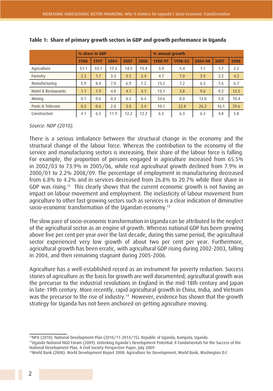|                     |      | % share in GDP |      |      |      | % annual growth |         |         |      |      |
|---------------------|------|----------------|------|------|------|-----------------|---------|---------|------|------|
|                     | 1988 | 1997           | 2004 | 2007 | 2008 | 1988-97         | 1998-02 | 2004-08 | 2007 | 2008 |
| Agriculture         | 51.1 | 33.1           | 17.3 | 14.5 | 15.4 | 3.9             | 5.4     | 1.1     | 1.7  | 2.2  |
| Forestry            | 2.2  | 1.7            | 3.3  | 3.5  | 3.4  | 4.7             | 7.0     | 3.9     | 2.2  | 4.2  |
| Manufacturing       | 5.9  | 8.4            | 7.0  | 6.9  | 7.2  | 13.2            | 7.2     | 6.3     | 7.6  | 6.7  |
| Hotel & Restaurants | 1.1  | 1.9            | 4.0  | 4.1  | 4.1  | 13.1            | 3.8     | 9.6     | 9.2  | 12.5 |
| Mining              | 0.1  | 0.6            | 0.3  | 0.3  | 0.4  | 34.6            | 8.0     | 13.0    | 5.0  | 10.4 |
| Posts & Telecom     | 0.2  | 0.6            | 2.0  | 3.0  | 3.4  | 10.1            | 22.8    | 26.2    | 16.1 | 39.6 |
| Construction        | 4.1  | 6.5            | 11.9 | 12.2 | 12.2 | 6.5             | 6.3     | 6.3     | 4.8  | 5.8  |

**Table 1: Share of primary growth sectors in GDP and growth performance in Uganda**

#### *Source: NDP (2010).*

There is a serious imbalance between the structural change in the economy and the structural change of the labour force. Whereas the contribution to the economy of the service and manufacturing sectors is increasing, their share of the labour force is falling. For example, the proportion of persons engaged in agriculture increased from 65.5% in 2002/03 to 73.9% in 2005/06, while real agricultural growth declined from 7.9% in 2000/01 to 2.2% 2008/09. The percentage of employment in manufacturing decreased from 6.8% to 4.2% and in services decreased from 26.8% to 20.7% while their share in GDP was rising.12 This clearly shows that the current economic growth is not having an impact on labour movement and employment. The inelasticity of labour movement from agriculture to other fast growing sectors such as services is a clear indication of diminutive socio-economic transformation of the Ugandan economy.<sup>13</sup>

The slow pace of socio-economic transformation in Uganda can be attributed to the neglect of the agricultural sector as an engine of growth. Whereas national GDP has been growing above five per cent per year over the last decade, during this same period, the agricultural sector experienced very low growth of about two per cent per year. Furthermore, agricultural growth has been erratic, with agricultural GDP rising during 2002-2003, falling in 2004, and then remaining stagnant during 2005-2006.

Agriculture has a well-established record as an instrument for poverty reduction. Success stories of agriculture as the basis for growth are well documented; agricultural growth was the precursor to the industrial revolutions in England in the mid-18th century and Japan in late-19th century. More recently, rapid agricultural growth in China, India, and Vietnam was the precursor to the rise of industry.<sup>14</sup> However, evidence has shown that the growth strategy for Uganda has not been anchored on getting agriculture moving.

<sup>12</sup>NPA (2010). National Development Plan (2010/11-2014/15). Republic of Uganda, Kampala, Uganda.

<sup>13</sup>Uganda National NGO Forum (2009). Unlocking Uganda's Development Potential: 8 Fundamentals for the Success of the National Development Plan, A Civil Society Perspective Paper, July 2009.

<sup>14</sup>World Bank (2008). World Development Report 2008: Agriculture for Development, World Bank, Washington D.C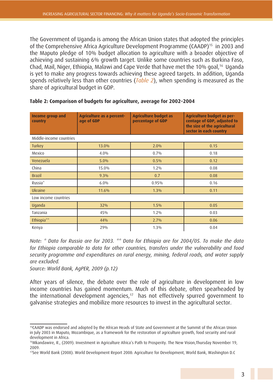The Government of Uganda is among the African Union states that adopted the principles of the Comprehensive Africa Agriculture Development Programme (CAADP)15 in 2003 and the Maputo pledge of 10% budget allocation to agriculture with a broader objective of achieving and sustaining 6% growth target. Unlike some countries such as Burkina Faso, Chad, Mail, Niger, Ethiopia, Malawi and Cape Verde that have met the 10% goal,<sup>16</sup> Uganda is yet to make any progress towards achieving these agreed targets. In addition, Uganda spends relatively less than other countries (*Table 2*), when spending is measured as the share of agricultural budget in GDP.

| <b>Income group and</b><br>country | Agriculture as a percent-<br>age of GDP | <b>Agriculture budget as</b><br>percentage of GDP | Agriculture budget as per-<br>centage of GDP, adjusted to<br>the size of the agricultural<br>sector in each country |  |  |  |  |  |  |  |  |
|------------------------------------|-----------------------------------------|---------------------------------------------------|---------------------------------------------------------------------------------------------------------------------|--|--|--|--|--|--|--|--|
| Middle-income countries            |                                         |                                                   |                                                                                                                     |  |  |  |  |  |  |  |  |
| <b>Turkey</b>                      | 13.0%                                   | 2.0%                                              | 0.15                                                                                                                |  |  |  |  |  |  |  |  |
| Mexico                             | $4.0\%$                                 | 0.7%                                              | 0.18                                                                                                                |  |  |  |  |  |  |  |  |
| Venezuela                          | 5.0%                                    | 0.5%                                              | 0.12                                                                                                                |  |  |  |  |  |  |  |  |
| China                              | 15.0%                                   | $1.2\%$                                           | 0.08                                                                                                                |  |  |  |  |  |  |  |  |
| <b>Brazil</b>                      | 9.3%                                    | 0.7                                               | 0.08                                                                                                                |  |  |  |  |  |  |  |  |
| Russia <sup>*</sup>                | 6.0%                                    | 0.95%                                             | 0.16                                                                                                                |  |  |  |  |  |  |  |  |
| Ukraine                            | 11.6%                                   | 1.3%                                              | 0.11                                                                                                                |  |  |  |  |  |  |  |  |
| Low income countries               |                                         |                                                   |                                                                                                                     |  |  |  |  |  |  |  |  |
| Uganda                             | 32%                                     | 1.5%                                              | 0.05                                                                                                                |  |  |  |  |  |  |  |  |
| Tanzania                           | 45%                                     | $1.2\%$                                           | 0.03                                                                                                                |  |  |  |  |  |  |  |  |
| Ethiopia**                         | 44%                                     | 2.7%                                              | 0.06                                                                                                                |  |  |  |  |  |  |  |  |
| Kenya                              | 29%                                     | 1.3%                                              | 0.04                                                                                                                |  |  |  |  |  |  |  |  |

#### **Table 2: Comparison of budgets for agriculture, average for 2002–2004**

*Note: \* Data for Russia are for 2003. \*\* Data for Ethiopia are for 2004/05. To make the data for Ethiopia comparable to data for other countries, transfers under the vulnerability and food security programme and expenditures on rural energy, mining, federal roads, and water supply are excluded.* 

*Source: World Bank, AgPER, 2009 (p.12)*

After years of silence, the debate over the role of agriculture in development in low income countries has gained momentum. Much of this debate, often spearheaded by the international development agencies,<sup>17</sup> has not effectively spurred government to galvanise strategies and mobilize more resources to invest in the agricultural sector.

<sup>15</sup>CAADP was endorsed and adopted by the African Heads of State and Government at the Summit of the African Union in July 2003 in Maputo, Mozambique, as a framework for the restoration of agriculture growth, food security and rural development in Africa.

<sup>16</sup>Mkandawire, R., (2009). Investment in Agriculture Africa's Path to Prosperity. The New Vision,Thursday November 19, 2009.

<sup>17</sup>See World Bank (2008). World Development Report 2008: Agriculture for Development, World Bank, Washington D.C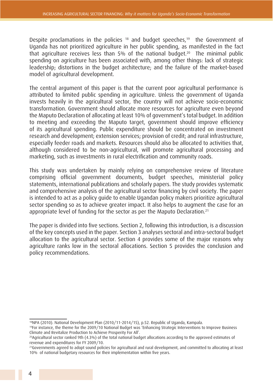Despite proclamations in the policies  $18$  and budget speeches, $19$  the Government of Uganda has not prioritized agriculture in her public spending, as manifested in the fact that agriculture receives less than 5% of the national budget.20 The minimal public spending on agriculture has been associated with, among other things: lack of strategic leadership; distortions in the budget architecture; and the failure of the market-based model of agricultural development.

The central argument of this paper is that the current poor agricultural performance is attributed to limited public spending in agriculture. Unless the government of Uganda invests heavily in the agricultural sector, the country will not achieve socio-economic transformation. Government should allocate more resources for agriculture even beyond the Maputo Declaration of allocating at least 10% of government's total budget. In addition to meeting and exceeding the Maputo target, government should improve efficiency of its agricultural spending. Public expenditure should be concentrated on investment research and development; extension services; provision of credit; and rural infrastructure, especially feeder roads and markets. Resources should also be allocated to activities that, although considered to be non-agricultural, will promote agricultural processing and marketing, such as investments in rural electrification and community roads.

This study was undertaken by mainly relying on comprehensive review of literature comprising official government documents, budget speeches, ministerial policy statements, international publications and scholarly papers. The study provides systematic and comprehensive analysis of the agricultural sector financing by civil society. The paper is intended to act as a policy guide to enable Ugandan policy makers prioritize agricultural sector spending so as to achieve greater impact. It also helps to augment the case for an appropriate level of funding for the sector as per the Maputo Declaration.<sup>21</sup>

The paper is divided into five sections. Section 2, following this introduction, is a discussion of the key concepts used in the paper. Section 3 analyses sectoral and intra-sectoral budget allocation to the agricultural sector. Section 4 provides some of the major reasons why agriculture ranks low in the sectoral allocations. Section 5 provides the conclusion and policy recommendations.

<sup>&</sup>lt;sup>18</sup>NPA (2010). National Development Plan (2010/11-2014/15), p.52. Republic of Uganda, Kampala.

<sup>19</sup>For instance, the theme for the 2009/10 National Budget was 'Enhancing Strategic Interventions to Improve Business Climate and Revitalize Production to Achieve Prosperity For All'.

<sup>20</sup>Agricultural sector ranked 9th (4.3%) of the total national budget allocations according to the approved estimates of revenue and expenditures for FY 2009/10.

<sup>&</sup>lt;sup>21</sup>Governments agreed to adopt sound policies for agricultural and rural development, and committed to allocating at least 10% of national budgetary resources for their implementation within five years.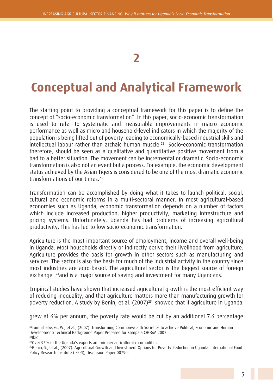## **2**

## **Conceptual and Analytical Framework**

The starting point to providing a conceptual framework for this paper is to define the concept of "socio-economic transformation". In this paper, socio-economic transformation is used to refer to systematic and measurable improvements in macro economic performance as well as micro and household-level indicators in which the majority of the population is being lifted out of poverty leading to economically-based industrial skills and intellectual labour rather than archaic human muscle.<sup>22</sup> Socio-economic transformation therefore, should be seen as a qualitative and quantitative positive movement from a bad to a better situation. The movement can be incremental or dramatic. Socio-economic transformation is also not an event but a process. For example, the economic development status achieved by the Asian Tigers is considered to be one of the most dramatic economic transformations of our times.23

Transformation can be accomplished by doing what it takes to launch political, social, cultural and economic reforms in a multi-sectoral manner. In most agricultural-based economies such as Uganda, economic transformation depends on a number of factors which include increased production, higher productivity, marketing infrastructure and pricing systems. Unfortunately, Uganda has had problems of increasing agricultural productivity. This has led to low socio-economic transformation.

Agriculture is the most important source of employment, income and overall well-being in Uganda. Most households directly or indirectly derive their livelihood from agriculture. Agriculture provides the basis for growth in other sectors such as manufacturing and services. The sector is also the basis for much of the industrial activity in the country since most industries are agro-based. The agricultural sector is the biggest source of foreign exchange <sup>24</sup>and is a major source of saving and investment for many Ugandans.

Empirical studies have shown that increased agricultural growth is the most efficient way of reducing inequality, and that agriculture matters more than manufacturing growth for poverty reduction. A study by Benin, et al. (2007)25 showed that if agriculture in Uganda

grew at 6% per annum, the poverty rate would be cut by an additional 7.6 percentage

<sup>&</sup>lt;sup>22</sup>Tumushabe, G., W., et al., (2007). Transforming Commonwealth Societies to achieve Political, Economic and Human Development: Technical Background Paper Prepared for Kampala CHOGM 2007.  $23$ Ibid.

<sup>&</sup>lt;sup>24</sup>Over 95% of the Uganda's exports are primary agricultural commodities.

<sup>25</sup>Benin, S., et al., (2007). Agricultural Growth and Investment Options for Poverty Reduction in Uganda. International Food Policy Research Institute (IFPRI), Discussion Paper 00790.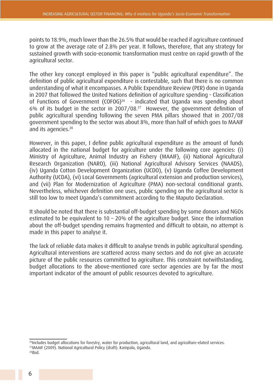points to 18.9%, much lower than the 26.5% that would be reached if agriculture continued to grow at the average rate of 2.8% per year. It follows, therefore, that any strategy for sustained growth with socio-economic transformation must centre on rapid growth of the agricultural sector.

The other key concept employed in this paper is "public agricultural expenditure". The definition of public agricultural expenditure is contestable, such that there is no common understanding of what it encompasses. A Public Expenditure Review (PER) done in Uganda in 2007 that followed the United Nations definition of agriculture spending - Classification of Functions of Government (COFOG)<sup>26</sup> - indicated that Uganda was spending about 6% of its budget in the sector in 2007/08.27 However, the government definition of public agricultural spending following the seven PMA pillars showed that in 2007/08 government spending to the sector was about 8%, more than half of which goes to MAAIF and its agencies.<sup>28</sup>

However, in this paper, I define public agricultural expenditure as the amount of funds allocated in the national budget for agriculture under the following core agencies: (i) Ministry of Agriculture, Animal Industry an Fishery (MAAIF), (ii) National Agricultural Research Organization (NARO), (iii) National Agricultural Advisory Services (NAADS), (iv) Uganda Cotton Development Organization (UCDO), (v) Uganda Coffee Development Authority (UCDA), (vi) Local Governments (agricultural extension and production services), and (vii) Plan for Modernization of Agriculture (PMA) non-sectoral conditional grants. Nevertheless, whichever definition one uses, public spending on the agricultural sector is still too low to meet Uganda's commitment according to the Maputo Declaration.

It should be noted that there is substantial off-budget spending by some donors and NGOs estimated to be equivalent to 10 – 20% of the agriculture budget. Since the information about the off-budget spending remains fragmented and difficult to obtain, no attempt is made in this paper to analyse it.

The lack of reliable data makes it difficult to analyse trends in public agricultural spending. Agricultural interventions are scattered across many sectors and do not give an accurate picture of the public resources committed to agriculture. This constraint notwithstanding, budget allocations to the above-mentioned core sector agencies are by far the most important indicator of the amount of public resources devoted to agriculture.

<sup>26</sup>Includes budget allocations for forestry, water for production, agricultural land, and agriculture-elated services. 27MAAIF (2009). National Agricultural Policy (draft). Kampala, Uganda. 28Ibid.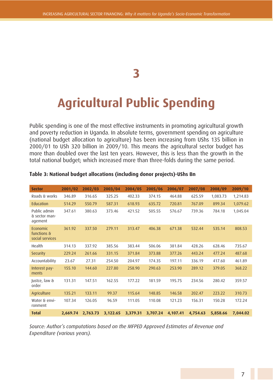## **3**

# **Agricultural Public Spending**

Public spending is one of the most effective instruments in promoting agricultural growth and poverty reduction in Uganda. In absolute terms, government spending on agriculture (national budget allocation to agriculture) has been increasing from UShs 135 billion in 2000/01 to USh 320 billion in 2009/10. This means the agricultural sector budget has more than doubled over the last ten years. However, this is less than the growth in the total national budget; which increased more than three-folds during the same period.

| <b>Sector</b>                              | 2001/02  | 2002/03  | 2003/04  | 2004/05  | 2005/06  | 2006/07  | 2007/08  | 2008/09  | 2009/10  |
|--------------------------------------------|----------|----------|----------|----------|----------|----------|----------|----------|----------|
| Roads & works                              | 346.89   | 316.65   | 325.25   | 402.33   | 374.15   | 464.88   | 625.59   | 1,083.73 | 1,214.83 |
| Education                                  | 514.29   | 550.79   | 587.31   | 618.93   | 635.72   | 720.81   | 767.09   | 899.34   | 1,079.62 |
| Public admin<br>& sector man-<br>agement   | 347.61   | 380.63   | 373.46   | 421.52   | 505.55   | 576.67   | 739.36   | 784.18   | 1,045.04 |
| Economic<br>functions &<br>social services | 361.92   | 337.50   | 279.11   | 313.47   | 406.38   | 671.38   | 532.44   | 535.14   | 808.53   |
| Health                                     | 314.13   | 337.92   | 385.56   | 383.44   | 506.06   | 381.84   | 428.26   | 628.46   | 735.67   |
| <b>Security</b>                            | 229.24   | 261.66   | 331.15   | 371.84   | 373.88   | 377.26   | 443.24   | 477.24   | 487.68   |
| Accountability                             | 23.67    | 27.31    | 254.50   | 204.97   | 174.35   | 197.11   | 336.19   | 417.60   | 461.89   |
| Interest pay-<br>ments                     | 155.10   | 144.60   | 227.80   | 258.90   | 290.63   | 253.90   | 289.12   | 379.05   | 368.22   |
| Justce, law &<br>order                     | 131.31   | 147.51   | 162.55   | 177.22   | 181.59   | 195.75   | 234.56   | 280.42   | 359.57   |
| Agriculture                                | 135.21   | 133.11   | 99.37    | 115.64   | 148.85   | 146.58   | 202.47   | 223.22   | 310.73   |
| Water & envi-<br>ronment                   | 107.34   | 126.05   | 96.59    | 111.05   | 110.08   | 121.23   | 156.31   | 150.28   | 172.24   |
| <b>Total</b>                               | 2,669.74 | 2,763.73 | 3,122.65 | 3,379.31 | 3,707.24 | 4,107.41 | 4,754.63 | 5,858.66 | 7,044.02 |

#### **Table 3: National budget allocations (including donor projects)-UShs Bn**

*Source: Author's computations based on the MFPED Approved Estimates of Revenue and Expenditure (various years).*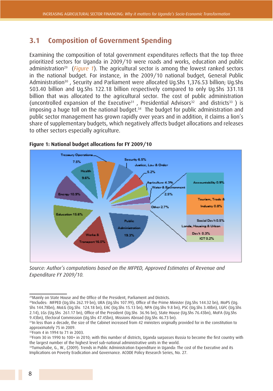### **3.1 Composition of Government Spending**

Examining the composition of total government expenditures reflects that the top three prioritized sectors for Uganda in 2009/10 were roads and works, education and public administration<sup>29</sup> (*Figure 1*). The agricultural sector is among the lowest ranked sectors in the national budget. For instance, in the 2009/10 national budget, General Public Administration<sup>30</sup>, Security and Parliament were allocated Ug.Shs 1,376.53 billion; Ug.Shs 503.40 billion and Ug.Shs 122.18 billion respectively compared to only Ug.Shs 331.18 billion that was allocated to the agricultural sector. The cost of public administration (uncontrolled expansion of the Executive<sup>31</sup>, Presidential Advisors<sup>32</sup> and districts<sup>33</sup>) is imposing a huge toll on the national budget.<sup>34</sup> The budget for public administration and public sector management has grown rapidly over years and in addition, it claims a lion's share of supplementary budgets, which negatively affects budget allocations and releases to other sectors especially agriculture.



#### **Figure 1: National budget allocations for FY 2009/10**

*Source: Author's computations based on the MFPED, Approved Estimates of Revenue and Expenditure FY 2009/10.*

<sup>&</sup>lt;sup>29</sup> Mainly on State House and the Office of the President, Parliament and Districts.

<sup>&</sup>lt;sup>30</sup>Includes: MFPED (Ug.Shs 262.19 bn), URA (Ug.Shs 107.99), Office of the Prime Minister (Ug.Shs 144.32 bn), MoPS (Ug. Shs 144.78bn), MoLG (Ug.Shs 124.18 bn), EAC (Ug.Shs 15.13 bn), NPA (Ug.Shs 9.8 bn), PSC (Ug.Shs 3.48bn), LGFC (Ug.Shs 2.14), LGs (Ug.Shs 261.17 bn), Office of the President (Ug.Shs 36.96 bn), State House (Ug.Shs 76.43bn), MoFA (Ug.Shs 9.43bn), Electoral Commission (Ug.Shs 47.45bn), Missions Abroad (Ug.Shs 46.73 bn).

<sup>&</sup>lt;sup>31</sup>In less than a decade, the size of the Cabinet increased from 42 ministers originally provided for in the constitution to approximately 75 in 2009.

<sup>32</sup>From 4 in 1994 to 71 in 2003.

 $33$ From 30 in 1990 to 100+ in 2010; with this number of districts, Uganda surpasses Russia to become the first country with the largest number of the highest level sub-national administrative units in the world.

<sup>&</sup>lt;sup>34</sup>Tumushabe, G., W., (2009). Trends in Public Administration Expenditure in Uganda: The cost of the Executive and its Implications on Poverty Eradication and Governance. ACODE Policy Research Series, No. 27.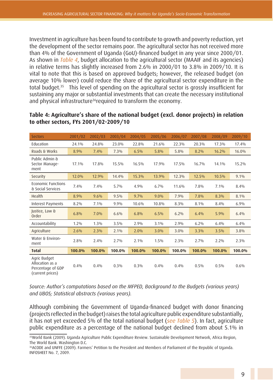Investment in agriculture has been found to contribute to growth and poverty reduction, yet the development of the sector remains poor. The agricultural sector has not received more than 4% of the Government of Uganda (GoU)-financed budget in any year since 2000/01. As shown in *Table 4*, budget allocation to the agricultural sector (MAAIF and its agencies) in relative terms has slightly increased from 2.6% in 2000/01 to 3.8% in 2009/10. It is vital to note that this is based on approved budgets; however, the released budget (on average 10% lower) could reduce the share of the agricultural sector expenditure in the total budget.35 This level of spending on the agricultural sector is grossly insufficient for sustaining any major or substantial investments that can create the necessary institutional and physical infrastructure<sup>36</sup>required to transform the economy.

| <b>Sectors</b>                                                           | 2001/02 | 2002/03 | 2003/04 | 2004/05 | 2005/06 | 2006/07 | 2007/08 | 2008/09 | 2009/10 |
|--------------------------------------------------------------------------|---------|---------|---------|---------|---------|---------|---------|---------|---------|
| Education                                                                | 24.1%   | 24.8%   | 23.0%   | 22.8%   | 21.6%   | 22.3%   | 20.3%   | 17.3%   | 17.4%   |
| Roads & Works                                                            | 8.9%    | 7.4%    | 7.3%    | 6.5%    | 5.8%    | 5.8%    | 8.2%    | 16.2%   | 16.0%   |
| Public Admin &<br>Sector Manage-<br>ment                                 | 17.1%   | 17.8%   | 15.5%   | 16.5%   | 17.9%   | 17.5%   | 16.7%   | 14.1%   | 15.2%   |
| Security                                                                 | 12.0%   | 12.9%   | 14.4%   | 15.3%   | 13.9%   | 12.3%   | 12.5%   | 10.5%   | 9.1%    |
| Economic Functions<br>& Social Services                                  | 7.4%    | 7.4%    | 5.7%    | 4.9%    | 6.7%    | 11.6%   | 7.8%    | 7.1%    | 8.4%    |
| Health                                                                   | 8.9%    | 9.6%    | 9.5%    | 9.7%    | $9.0\%$ | 7.9%    | 7.8%    | 8.3%    | 8.1%    |
| Interest Payments                                                        | 8.2%    | 7.1%    | 9.9%    | 10.6%   | 10.8%   | 8.3%    | 8.1%    | 8.4%    | 6.9%    |
| Justice, Law &<br>Order                                                  | 6.8%    | 7.0%    | 6.6%    | 6.8%    | 6.5%    | 6.2%    | 6.4%    | 5.9%    | 6.4%    |
| Accountability                                                           | $1.2\%$ | $1.3\%$ | 3.5%    | 2.9%    | 3.1%    | 2.9%    | 6.2%    | 6.4%    | 6.4%    |
| Agriculture                                                              | 2.6%    | 2.3%    | $2.1\%$ | 2.0%    | 3.0%    | 3.0%    | 3.3%    | 3.5%    | 3.8%    |
| Water & Environ-<br>ment                                                 | 2.8%    | 2.4%    | 2.7%    | 2.1%    | 1.5%    | 2.3%    | 2.7%    | $2.2\%$ | 2.3%    |
| <b>Total</b>                                                             | 100.0%  | 100.0%  | 100.0%  | 100.0%  | 100.0%  | 100.0%  | 100.0%  | 100.0%  | 100.0%  |
| Agric Budget<br>Allocation as a<br>Percentage of GDP<br>(current prices) | 0.4%    | 0.4%    | 0.3%    | $0.3\%$ | 0.4%    | 0.4%    | 0.5%    | 0.5%    | 0.6%    |

#### **Table 4: Agriculture's share of the national budget (excl. donor projects) in relation to other sectors, FYs 2001/02-2009/10**

*Source: Author's computations based on the MFPED, Background to the Budgets (various years) and UBOS; Statistical abstracts (various years).*

Although combining the Government of Uganda-financed budget with donor financing (projects reflected in the budget) raises the total agriculture public expenditure substantially, it has not yet exceeded 5% of the total national budget (*see Table 5*). In fact, agriculture public expenditure as a percentage of the national budget declined from about 5.1% in

<sup>35</sup>World Bank (2009). Uganda Agriculture Public Expenditure Review. Sustainable Development Network, Africa Region, The World Bank. Washington D.C.

<sup>36</sup>ACODE and UNFFE (2009). Farmers' Petition to the President and Members of Parliament of the Republic of Uganda. INFOSHEET No. 7, 2009.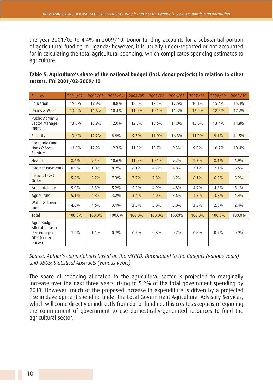the year 2001/02 to 4.4% in 2009/10. Donor funding accounts for a substantial portion of agricultural funding in Uganda; however, it is usually under-reported or not accounted for in calculating the total agricultural spending, which complicates spending estimates to agriculture.

| <b>Sectors</b>                                                              | 2001/02 | 2002/03 | 2003/04 | 2004/05 | 2005/06 | 2006/07 | 2007/08 | 2008/09 | 2009/10 |
|-----------------------------------------------------------------------------|---------|---------|---------|---------|---------|---------|---------|---------|---------|
| Education                                                                   | 19.3%   | 19.9%   | 18.8%   | 18.3%   | 17.1%   | 17.5%   | 16.1%   | 15.4%   | 15.3%   |
| Roads & Works                                                               | 13.0%   | 11.5%   | 10.4%   | 11.9%   | 10.1%   | 11.3%   | 13.2%   | 18.5%   | 17.2%   |
| Public Admin &<br>Sector Manage-<br>ment                                    | 13.0%   | 13.8%   | 12.0%   | 12.5%   | 13.6%   | 14.0%   | 15.6%   | 13.4%   | 14.8%   |
| Security                                                                    | 13.6%   | 12.2%   | 8.9%    | 9.3%    | 11.0%   | 16.3%   | 11.2%   | 9.1%    | 11.5%   |
| Economic Func-<br>tions & Social<br>Services                                | 11.8%   | 12.2%   | 12.3%   | 11.3%   | 13.7%   | 9.3%    | $9.0\%$ | 10.7%   | 10.4%   |
| Health                                                                      | 8.6%    | 9.5%    | 10.6%   | 11.0%   | 10.1%   | $9.2\%$ | 9.3%    | 8.1%    | 6.9%    |
| <b>Interest Payments</b>                                                    | 0.9%    | 1.0%    | 8.2%    | 6.1%    | 4.7%    | 4.8%    | 7.1%    | 7.1%    | 6.6%    |
| Justice, Law &<br>Order                                                     | 5.8%    | 5.2%    | $7.3\%$ | 7.7%    | 7.8%    | 6.2%    | 6.1%    | 6.5%    | 5.2%    |
| Accountability                                                              | 5.0%    | 5.3%    | $5.2\%$ | 5.2%    | 4.9%    | 4.8%    | 4.9%    | 4.8%    | 5.1%    |
| Agriculture                                                                 | 5.1%    | 4.8%    | $3.2\%$ | 3.4%    | 4.0%    | $3.6\%$ | 4.3%    | 3.8%    | 4.4%    |
| Water & Environ-<br>ment                                                    | $4.0\%$ | 4.6%    | 3.1%    | 3.3%    | $3.0\%$ | $3.0\%$ | 3.3%    | 2.6%    | 2.4%    |
| Total                                                                       | 100.0%  | 100.0%  | 100.0%  | 100.0%  | 100.0%  | 100.0%  | 100.0%  | 100.0%  | 100.0%  |
| Agric Budget<br>Allocation as a<br>Percentage of<br>GDP (current<br>prices) | $1.2\%$ | 1.1%    | 0.7%    | 0.7%    | 0.8%    | 0.7%    | 0.8%    | 0.7%    | 0.9%    |

#### **Table 5: Agriculture's share of the national budget (incl. donor projects) in relation to other sectors, FYs 2001/02-2009/10**

*Source: Author's computations based on the MFPED, Background to the Budgets (various years) and UBOS; Statistical Abstracts (various years).*

The share of spending allocated to the agricultural sector is projected to marginally increase over the next three years, rising to 5.2% of the total government spending by 2013. However, much of the proposed increase in expenditure is driven by a projected rise in development spending under the Local Government Agricultural Advisory Services, which will come directly or indirectly from donor funding. This creates skepticism regarding the commitment of government to use domestically-generated resources to fund the agricultural sector.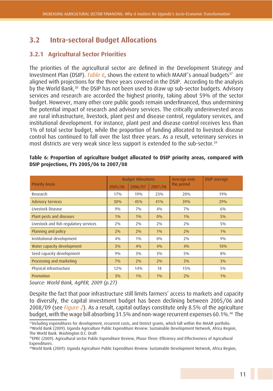## **3.2 Intra-sectoral Budget Allocations**

### **3.2.1 Agricultural Sector Priorities**

The priorities of the agricultural sector are defined in the Development Strategy and Investment Plan (DSIP). *Table 6*, shows the extent to which MAAIF's annual budgets<sup>37</sup> are aligned with projections for the three years covered in the DSIP. According to the analysis by the World Bank,<sup>38</sup> the DSIP has not been used to draw up sub-sector budgets. Advisory services and research are accorded the highest priority, taking about 59% of the sector budget. However, many other core public goods remain underfinanced, thus undermining the potential impact of research and advisory services. The critically underinvested areas are rural infrastructure, livestock, plant pest and disease control, regulatory services, and institutional development. For instance, plant pest and disease control receives less than 1% of total sector budget, while the proportion of funding allocated to livestock disease control has continued to fall over the last three years. As a result, veterinary services in most districts are very weak since less support is extended to the sub-sector.<sup>39</sup>

|                                        |         | <b>Budget Allocations</b> |       | Average over | <b>DSIP</b> average |  |
|----------------------------------------|---------|---------------------------|-------|--------------|---------------------|--|
| <b>Priority Areas</b>                  | 2005/06 | 2007/08<br>2006/07        |       | the period   |                     |  |
| Research                               | 17%     | 19%                       | 23%   | 20%          | 19%                 |  |
| <b>Advisory Services</b>               | 30%     | 45%                       | 41%   | 39%          | 29%                 |  |
| Livestock Disease                      | 9%      | $7\%$                     | $4\%$ | $7\%$        | $6\%$               |  |
| Plant pests and diseases               | $1\%$   | $1\%$                     | 0%    | $1\%$        | $5\%$               |  |
| Livestock and fish regulatory services | $2\%$   | $2\%$                     | $2\%$ | 2%           | $5\%$               |  |
| Planning and policy                    | 2%      | 2%                        | $1\%$ | 2%           | $1\%$               |  |
| Institutional development              | $4\%$   | $1\%$                     | $0\%$ | $2\%$        | 9%                  |  |
| Water capacity development             | $3\%$   | 4%                        | 4%    | 4%           | 10%                 |  |
| Seed capacity development              | 9%      | $3\%$                     | $3\%$ | $5\%$        | 8%                  |  |
| Processing and marketing               | 7%      | 2%                        | 2%    | $3\%$        | $3\%$               |  |
| Physical infrastructure                | 12%     | 14%                       | 18    | 15%          | 5%                  |  |
| Promotion                              | $3\%$   | $1\%$                     | $1\%$ | 2%           | 1%                  |  |

#### **Table 6: Proportion of agriculture budget allocated to DSIP priority areas, compared with DSIP projections, FYs 2005/06 to 2007/08**

*Source: World Bank, AgPER, 2009 (p.27)*

Despite the fact that poor infrastructure still limits farmers' access to markets and capacity to diversify, the capital investment budget has been declining between 2005/06 and 2008/09 (see *Figure 2*). As a result, capital outlays constitute only 8.5% of the agriculture budget, with the wage bill absorbing 31.5% and non-wage recurrent expenses 60.1%.40 The

<sup>&</sup>lt;sup>37</sup>Including expenditures for development, recurrent costs, and District grants, which fall within the MAAIF portfolio. 38World Bank (2009). Uganda Agriculture Public Expenditure Review. Sustainable Development Network, Africa Region, The World Bank. Washington D.C. Draft

<sup>39</sup>EPRC (2009). Agricultural sector Public Expenditure Review, Phase Three: Efficiency and Effectiveness of Agricultural Expenditures.

<sup>40</sup>World Bank (2009). Uganda Agriculture Public Expenditure Review. Sustainable Development Network, Africa Region,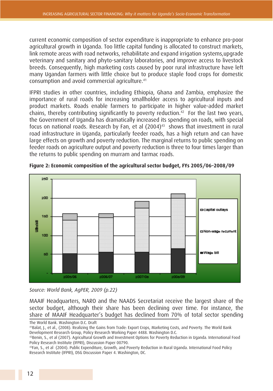current economic composition of sector expenditure is inappropriate to enhance pro-poor agricultural growth in Uganda. Too little capital funding is allocated to construct markets, link remote areas with road networks, rehabilitate and expand irrigation systems,upgrade veterinary and sanitary and phyto-sanitary laboratories, and improve access to livestock breeds. Consequently, high marketing costs caused by poor rural infrastructure have left many Ugandan farmers with little choice but to produce staple food crops for domestic consumption and avoid commercial agriculture.41

IFPRI studies in other countries, including Ethiopia, Ghana and Zambia, emphasize the importance of rural roads for increasing smallholder access to agricultural inputs and product markets. Roads enable farmers to participate in higher value-added market chains, thereby contributing significantly to poverty reduction.<sup>42</sup> For the last two years, the Government of Uganda has dramatically increased its spending on roads, with special focus on national roads. Research by Fan, et al (2004)<sup>43</sup> shows that investment in rural road infrastructure in Uganda, particularly feeder roads, has a high return and can have large effects on growth and poverty reduction. The marginal returns to public spending on feeder roads on agriculture output and poverty reduction is three to four times larger than the returns to public spending on murram and tarmac roads.



**Figure 2: Economic composition of the agricultural sector budget, FYs 2005/06–2008/09**

*Source: World Bank, AgPER, 2009 (p.22)*

MAAIF Headquarters, NARO and the NAADS Secretariat receive the largest share of the sector budget, although their share has been declining over time. For instance, the share of MAAIF Headquarter's budget has declined from 70% of total sector spending

The World Bank. Washington D.C. Draft

<sup>41</sup>Balat, J., et al., (2008). Realizing the Gains from Trade: Export Crops, Marketing Costs, and Poverty. The World Bank Development Research Group, Policy Research Working Paper 4488. Washington D.C.

<sup>42</sup>Benin, S., et al (2007). Agricultural Growth and Investment Options for Poverty Reduction in Uganda. International Food Policy Research Institute (IFPRI), Discussion Paper 00790.

<sup>43</sup>Fan, S., et al (2004). Public Expenditure, Growth, and Poverty Reduction in Rural Uganda. International Food Policy Research Institute (IFPRI), DSG Discussion Paper 4. Washington, DC.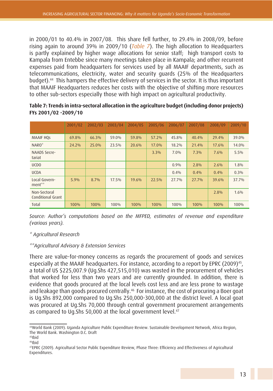in 2000/01 to 40.4% in 2007/08. This share fell further, to 29.4% in 2008/09, before rising again to around 39% in 2009/10 (*Table 7*). The high allocation to Headquarters is partly explained by higher wage allocations for senior staff; high transport costs to Kampala from Entebbe since many meetings taken place in Kampala; and other recurrent expenses paid from headquarters for services used by all MAAIF departments, such as telecommunications, electricity, water and security guards (25% of the Headquarters budget).44 This hampers the effective delivery of services in the sector. It is thus important that MAAIF Headquarters reduces her costs with the objective of shifting more resources to other sub-sectors especially those with high impact on agricultural productivity.

|                                   | 2001/02 | 2002/03 | 2003/04 | 2004/05 | 2005/06 | 2006/07 | 2007/08  | 2008/09 | 2009/10 |
|-----------------------------------|---------|---------|---------|---------|---------|---------|----------|---------|---------|
| <b>MAAIF HQS</b>                  | 69.8%   | 66.3%   | 59.0%   | 59.8%   | 57.2%   | 45.8%   | 40.4%    | 29.4%   | 39.0%   |
| NARO <sup>*</sup>                 | 24.2%   | 25.0%   | 23.5%   | 20.6%   | 17.0%   | 18.2%   | $21.4\%$ | 17.6%   | 14.0%   |
| <b>NAADS Secre-</b><br>tariat     |         |         |         |         | 3.3%    | $7.0\%$ | 7.3%     | $7.6\%$ | 5.5%    |
| UCD <sub>0</sub>                  |         |         |         |         |         | 0.9%    | 2.8%     | 2.6%    | 1.8%    |
| <b>UCDA</b>                       |         |         |         |         |         | 0.4%    | 0.4%     | 0.4%    | $0.3\%$ |
| Local Govern-<br>ment**           | 5.9%    | 8.7%    | 17.5%   | 19.6%   | 22.5%   | 27.7%   | 27.7%    | 39.6%   | 37.7%   |
| Non-Sectoral<br>Conditional Grant |         |         |         |         |         |         |          | 2.8%    | $1.6\%$ |
| Total                             | 100%    | 100%    | 100%    | 100%    | 100%    | 100%    | 100%     | 100%    | 100%    |

#### **Table 7: Trends in intra-sectoral allocation in the agriculture budget (including donor projects) FYs 2001/02 -2009/10**

*Source: Author's computations based on the MFPED, estimates of revenue and expenditure (various years).*

*\* Agricultural Research* 

#### *\*\*Agricultural Advisory & Extension Services*

There are value-for-money concerns as regards the procurement of goods and services especially at the MAAIF headquarters. For instance, according to a report by EPRC (2009)<sup>45</sup>, a total of US \$225,007.9 (Ug.Shs 427,515,010) was wasted in the procurement of vehicles that worked for less than two years and are currently grounded. In addition, there is evidence that goods procured at the local levels cost less and are less prone to wastage and leakage than goods procured centrally.<sup>46</sup> For instance, the cost of procuring a Boer goat is Ug.Shs 892,000 compared to Ug.Shs 250,000-300,000 at the district level. A local goat was procured at Ug.Shs 70,000 through central government procurement arrangements as compared to Ug. Shs 50,000 at the local government level.<sup>47</sup>

<sup>44</sup>World Bank (2009). Uganda Agriculture Public Expenditure Review. Sustainable Development Network, Africa Region, The World Bank. Washington D.C. Draft

 $45$ Ibid

<sup>46</sup>Ibid

<sup>47</sup>EPRC (2009). Agricultural Sector Public Expenditure Review, Phase Three: Efficiency and Effectiveness of Agricultural Expenditures.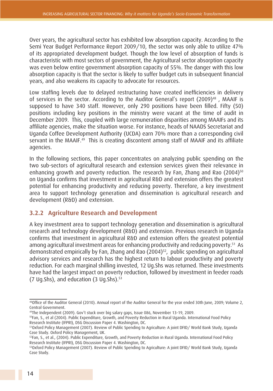Over years, the agricultural sector has exhibited low absorption capacity. According to the Semi Year Budget Performance Report 2009/10, the sector was only able to utilize 47% of its appropriated development budget. Though the low level of absorption of funds is characteristic with most sectors of government, the Agricultural sector absorption capacity was even below entire government absorption capacity of 55%. The danger with this low absorption capacity is that the sector is likely to suffer budget cuts in subsequent financial years, and also weakens its capacity to advocate for resources.

Low staffing levels due to delayed restructuring have created inefficiencies in delivery of services in the sector. According to the Auditor General's report (2009)<sup>48</sup>, MAAIF is supposed to have 340 staff. However, only 290 positions have been filled. Fifty (50) positions including key positions in the ministry were vacant at the time of audit in December 2009. This, coupled with large remuneration disparities among MAAIFs and its affiliate agencies, make the situation worse. For instance, heads of NAADS Secretariat and Uganda Coffee Development Authority (UCDA) earn 70% more than a corresponding civil servant in the MAAIF.<sup>49</sup> This is creating discontent among staff of MAAIF and its affiliate agencies.

In the following sections, this paper concentrates on analyzing public spending on the two sub-sectors of agricultural research and extension services given their relevance in enhancing growth and poverty reduction. The research by Fan, Zhang and Rao (2004)<sup>50</sup> on Uganda confirms that investment in agricultural R&D and extension offers the greatest potential for enhancing productivity and reducing poverty. Therefore, a key investment area to support technology generation and dissemination is agricultural research and development (R&D) and extension.

#### **3.2.2 Agriculture Research and Development**

A key investment area to support technology generation and dissemination is agricultural research and technology development (R&D) and extension. Previous research in Uganda confirms that investment in agricultural R&D and extension offers the greatest potential among agricultural investment areas for enhancing productivity and reducing poverty.<sup>51</sup> As demonstrated empirically by Fan, Zhang and Rao (2004)<sup>52</sup>, public spending on agricultural advisory services and research has the highest return to labour productivity and poverty reduction. For each marginal shilling invested, 12 Ug.Shs was returned. These investments have had the largest impact on poverty reduction, followed by investment in feeder roads (7 Ug.Shs), and education (3 Ug.Shs).53

<sup>48</sup>Office of the Auditor General (2010). Annual report of the Auditor General for the year ended 30th June, 2009; Volume 2, Central Government.

<sup>49</sup>The Independent (2009). Gov't stuck over big salary gaps, Issue 086, November 13-19, 2009.

<sup>50</sup>Fan, S., et al (2004). Public Expenditure, Growth, and Poverty Reduction in Rural Uganda. International Food Policy Research Institute (IFPRI), DSG Discussion Paper 4. Washington, DC.

<sup>51</sup>Oxford Policy Management (2007). Review of Public Spending to Agriculture: A joint DFID/ World Bank Study, Uganda Case Study. Oxford Policy Management, UK.

<sup>52</sup>Fan, S., et al., (2004). Public Expenditure, Growth, and Poverty Reduction in Rural Uganda. International Food Policy Research Institute (IFPRI), DSG Discussion Paper 4. Washington, DC.

<sup>53</sup>Oxford Policy Management (2007). Review of Public Spending to Agriculture: A joint DFID/ World Bank Study, Uganda Case Study.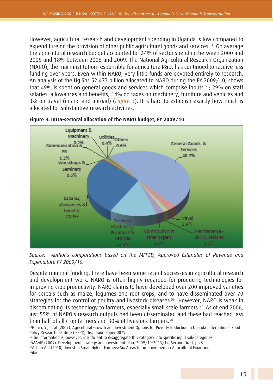However, agricultural research and development spending in Uganda is low compared to expenditure on the provision of other public agricultural goods and services.<sup>54</sup> On average the agricultural research budget accounted for 24% of sector spending between 2000 and 2005 and 18% between 2006 and 2009. The National Agricultural Research Organization (NARO), the main institution responsible for agriculture R&D, has continued to receive less funding over years. Even within NARO, very little funds are devoted entirely to research. An analysis of the Ug.Shs 52.473 billion allocated to NARO during the FY 2009/10, shows that 49% is spent on general goods and services which comprise inputs<sup>55</sup>; 29% on staff salaries, allowances and benefits; 14% on taxes on machinery, furniture and vehicles and 3% on travel (inland and abroad) (*Figure 3*). It is hard to establish exactly how much is allocated for substantive research activities.



**Figure 3: Intra-sectoral allocation of the NARO budget, FY 2009/10**

*Source: Author's computations based on the MFPED, Approved Estimates of Revenue and Expenditure FY 2009/10.*

Despite minimal funding, there have been some recent successes in agricultural research and development work. NARO is often highly regarded for producing technologies for improving crop productivity. NARO claims to have developed over 200 improved varieties for cereals such as maize, legumes and root crops, and to have disseminated over 70 strategies for the control of poultry and livestock diseases.<sup>56</sup> However, NARO is weak in disseminating its technology to farmers, especially small scale farmers.<sup>57</sup> As of end 2006, just 55% of NARO's research outputs had been disseminated and these had reached less than half of all crop farmers and 30% of livestock farmers.<sup>58</sup><br><sup>54</sup>Benin, S., et al (2007). Agricultural Growth and Investment Options for Poverty Reduction in Uganda. International Food

<sup>55</sup>The information is, however, insufficient to disaggregate this category into specific input sub-categories.

56MAAIF (2009). Development strategy and investment plan, 2009/10-2013/14, Second Draft, p.48

Policy Research Institute (IFPRI), Discussion Paper 00790.

<sup>57</sup>Action Aid (2010). Invest in Small Holder Farmers: Six Areas for improvement in Agricultural Financing. 58ibid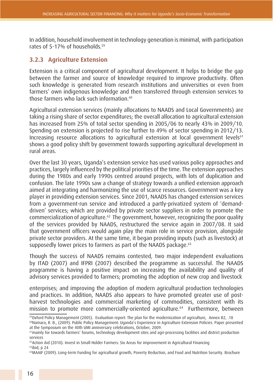In addition, household involvement in technology generation is minimal, with participation rates of 5-17% of households.59

#### **3.2.3 Agriculture Extension**

Extension is a critical component of agricultural development. It helps to bridge the gap between the farmer and source of knowledge required to improve productivity. Often such knowledge is generated from research institutions and universities or even from farmers' own indigenous knowledge and then transferred through extension services to those farmers who lack such information.<sup>60</sup>

Agricultural extension services (mainly allocations to NAADS and Local Governments) are taking a rising share of sector expenditures; the overall allocation to agricultural extension has increased from 25% of total sector spending in 2005/06 to nearly 43% in 2009/10. Spending on extension is projected to rise further to 49% of sector spending in 2012/13. Increasing resource allocations to agricultural extension at local government levels<sup>61</sup> shows a good policy shift by government towards supporting agricultural development in rural areas.

Over the last 30 years, Uganda's extension service has used various policy approaches and practices, largely influenced by the political priorities of the time. The extension approaches during the 1980s and early 1990s centred around projects, with lots of duplication and confusion. The late 1990s saw a change of strategy towards a unified extension approach aimed at integrating and harmonizing the use of scarce resources. Government was a key player in providing extension services. Since 2001, NAADS has changed extension services from a government-run service and introduced a partly-privatized system of 'demanddriven' services; which are provided by private sector suppliers in order to promote the commercialization of agriculture.62 The government, however, recognizing the poor quality of the services provided by NAADS, restructured the service again in 2007/08. It said that government officers would again play the main role in service provision, alongside private sector providers. At the same time, it began providing inputs (such as livestock) at supposedly lower prices to farmers as part of the NAADS package.<sup>63</sup>

Though the success of NAADS remains contested, two major independent evaluations by ITAD (2007) and IFPRI (2007) described the programme as successful. The NAADS programme is having a positive impact on increasing the availability and quality of advisory services provided to farmers; promoting the adoption of new crop and livestock

enterprises; and improving the adoption of modern agricultural production technologies and practices. In addition, NAADS also appears to have promoted greater use of postharvest technologies and commercial marketing of commodities, consistent with its mission to promote more commercially-oriented agriculture.64 Furthermore, between

<sup>59</sup>Oxford Policy Management (2005). Evaluation report: The plan for the modernization of agriculture, Annex B2, .18

<sup>60</sup>Namara, R. B., (2009). Public Policy Management: Uganda's Experience in Agriculture Extension Policies. Paper presented at the Symposium on the 40th UMI anniversary celebrations, October, 2009.

<sup>&</sup>lt;sup>61</sup>mainly for towards farmers' forums, technology development sites and agri-processing facilities and district production services

<sup>62</sup>Action Aid (2010). Invest in Small Holder Farmers: Six Areas for improvement in Agricultural Financing

<sup>63</sup>ibid, p 24

<sup>64</sup>MAAIF (2009). Long-term Funding for agricultural growth, Poverty Reduction, and Food and Nutrition Security. Brochure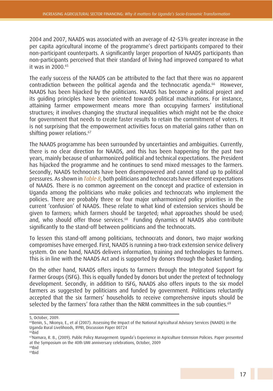2004 and 2007, NAADS was associated with an average of 42-53% greater increase in the per capita agricultural income of the programme's direct participants compared to their non-participant counterparts. A significantly larger proportion of NAADS participants than non-participants perceived that their standard of living had improved compared to what it was in  $2000$   $65$ 

The early success of the NAADS can be attributed to the fact that there was no apparent contradiction between the political agenda and the technocratic agenda.66 However, NAADS has been hijacked by the politicians. NAADS has become a political project and its guiding principles have been oriented towards political machinations. For instance, attaining farmer empowerment means more than occupying farmers' institutional structures; it involves changing the structural inequalities which might not be the choice for government that needs to create faster results to retain the commitment of voters. It is not surprising that the empowerment activities focus on material gains rather than on shifting power relations.<sup>67</sup>

The NAADS programme has been surrounded by uncertainties and ambiguities. Currently, there is no clear direction for NAADS, and this has been happening for the past two years, mainly because of unharmonized political and technical expectations. The President has hijacked the programme and he continues to send mixed messages to the farmers. Secondly, NAADS technocrats have been disempowered and cannot stand up to political pressures. As shown in *Table 8*, both politicians and technocrats have different expectations of NAADS. There is no common agreement on the concept and practice of extension in Uganda among the politicians who make policies and technocrats who implement the policies. There are probably three or four major unharmonized policy priorities in the current 'confusion' of NAADS. These relate to what kind of extension services should be given to farmers; which farmers should be targeted; what approaches should be used; and, who should offer those services.<sup>68</sup> Funding dynamics of NAADS also contribute significantly to the stand-off between politicians and the technocrats.

To lessen this stand-off among politicians, technocrats and donors, two major working compromises have emerged. First, NAADS is running a two-track extension service delivery system. On one hand, NAADS delivers information, training and technologies to farmers. This is in line with the NAADS Act and is supported by donors through the basket funding.

On the other hand, NAADS offers inputs to farmers through the Integrated Support for Farmer Groups (ISFG). This is equally funded by donors but under the pretext of technology development. Secondly, in addition to ISFG, NAADS also offers inputs to the six model farmers as suggested by politicians and funded by government. Politicians reluctantly accepted that the six farmers' households to receive comprehensive inputs should be selected by the farmers' fora rather than the NRM committees in the sub counties.<sup>69</sup>

<sup>5,</sup> October, 2009.

<sup>&</sup>lt;sup>65</sup>Benin, S., Nkonya, E., et al (2007). Assessing the Impact of the National Agricultural Advisory Services (NAADS) in the Uganda Rural Livelihoods, IFPRI, Discussion Paper 00724

<sup>66</sup>ibid

<sup>67</sup>Namara, R. B., (2009). Public Policy Management: Uganda's Experience in Agriculture Extension Policies. Paper presented at the Symposium on the 40th UMI anniversary celebrations, October, 2009

<sup>68</sup>Ibid 69Ibid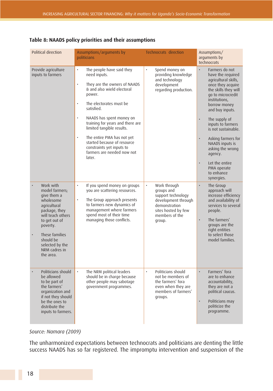| Political direction                                                                                                                                                                                                        | Assumptions/arguments by<br>politicians                                                                                                                                                                                                                                                                                                                                                                                                                               | Technocrats direction                                                                                                                                    | Assumptions/<br>arguments by<br>technocrats                                                                                                                                                                                                                                                                                                                                                                                |  |
|----------------------------------------------------------------------------------------------------------------------------------------------------------------------------------------------------------------------------|-----------------------------------------------------------------------------------------------------------------------------------------------------------------------------------------------------------------------------------------------------------------------------------------------------------------------------------------------------------------------------------------------------------------------------------------------------------------------|----------------------------------------------------------------------------------------------------------------------------------------------------------|----------------------------------------------------------------------------------------------------------------------------------------------------------------------------------------------------------------------------------------------------------------------------------------------------------------------------------------------------------------------------------------------------------------------------|--|
| Provide agriculture<br>inputs to farmers                                                                                                                                                                                   | $\bullet$<br>The people have said they<br>need inputs.<br>They are the owners of NAADS<br>$\bullet$<br>& and also wield electoral<br>power.<br>The electorates must be<br>$\ddot{\phantom{0}}$<br>satisfied.<br>NAADS has spent money on<br>$\bullet$<br>training for years and there are<br>limited tangible results.<br>The entire PMA has not yet<br>$\bullet$<br>started because of resource<br>constraints yet inputs to<br>farmers are needed now not<br>later. | $\bullet$<br>Spend money on<br>providing knowledge<br>and technology<br>development<br>regarding production.                                             | Farmers do not<br>have the required<br>agricultural skills,<br>once they acquire<br>the skills they will<br>go to microcredit<br>institutions,<br>borrow money<br>and buy inputs.<br>The supply of<br>$\bullet$<br>inputs to farmers<br>is not sustainable.<br>$\bullet$<br>Asking farmers for<br>NAADS inputs is<br>asking the wrong<br>agency.<br>Let the entire<br>$\bullet$<br>PMA operate<br>to enhance<br>synergies. |  |
| Work with<br>model farmers;<br>give them a<br>wholesome<br>agricultural<br>package, they<br>will teach others<br>to get out of<br>poverty.<br>These families<br>should be<br>selected by the<br>NRM cadres in<br>the area. | $\bullet$<br>If you spend money on groups<br>you are scattering resources.<br>The Group approach presents<br>$\bullet$<br>to farmers new dynamics of<br>management where farmers<br>spend most of their time<br>managing those conflicts.                                                                                                                                                                                                                             | $\bullet$<br>Work through<br>groups and<br>support technology<br>development through<br>demonstration<br>sites hosted by few<br>members of the<br>group. | The Group<br>$\bullet$<br>approach will<br>increase efficiency<br>and availability of<br>services to several<br>people.<br>$\ddot{\phantom{0}}$<br>The farmers'<br>groups are the<br>right entities<br>to select those<br>model families.                                                                                                                                                                                  |  |
| Politicians should<br>be allowed<br>to be part of<br>the farmers'<br>organization and<br>if not they should<br>be the ones to<br>distribute the<br>inputs to farmers.                                                      | The NRM political leaders<br>$\bullet$<br>should be in charge because<br>other people may sabotage<br>government programmes.                                                                                                                                                                                                                                                                                                                                          | Politicians should<br>$\bullet$<br>not be members of<br>the farmers' fora<br>even when they are<br>members of farmers'<br>groups.                        | Farmers' fora<br>$\bullet$<br>are to enhance<br>accountability,<br>they are not a<br>political caucus.<br>$\bullet$<br>Politicians may<br>politicize the<br>programme.                                                                                                                                                                                                                                                     |  |

#### **Table 8: NAADS policy priorities and their assumptions**

#### *Source: Namara (2009)*

The unharmonized expectations between technocrats and politicians are denting the little success NAADS has so far registered. The impromptu intervention and suspension of the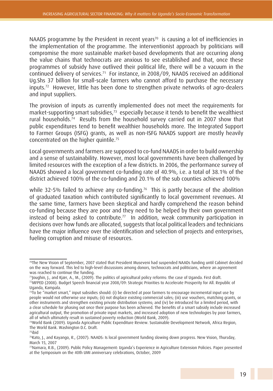NAADS programme by the President in recent years<sup>70</sup> is causing a lot of inefficiencies in the implementation of the programme. The interventionist approach by politicians will compromise the more sustainable market-based developments that are occurring along the value chains that technocrats are anxious to see established and that, once these programmes of subsidy have outlived their political life, there will be a vacuum in the continued delivery of services.71 For instance, in 2008/09, NAADS received an additional Ug.Shs 37 billion for small-scale farmers who cannot afford to purchase the necessary inputs.72 However, little has been done to strengthen private networks of agro-dealers and input suppliers.

The provision of inputs as currently implemented does not meet the requirements for market-supporting smart subsidies.<sup>73</sup> especially because it tends to benefit the wealthiest rural households.74 Results from the household survey carried out in 2007 show that public expenditures tend to benefit wealthier households more. The Integrated Support to Farmer Groups (ISFG) grants, as well as non-ISFG NAADS support are mostly heavily concentrated on the higher quintile.75

Local governments and farmers are supposed to co-fund NAADS in order to build ownership and a sense of sustainability. However, most local governments have been challenged by limited resources with the exception of a few districts. In 2006, the performance survey of NAADS showed a local government co-funding rate of 40.9%, i.e. a total of 38.1% of the district achieved 100% of the co-funding and 20.1% of the sub counties achieved 100%

while 32-5% failed to achieve any co-funding.<sup>76</sup> This is partly because of the abolition of graduated taxation which contributed significantly to local government revenues. At the same time, farmers have been skeptical and hardly comprehend the reason behind co-funding because they are poor and they need to be helped by their own government instead of being asked to contribute.77 In addition, weak community participation in decisions over how funds are allocated, suggests that local political leaders and technicians have the major influence over the identification and selection of projects and enterprises, fueling corruption and misuse of resources.

<sup>70</sup>The New Vision of September, 2007 stated that President Museveni had suspended NAADs funding until Cabinet decided on the way forward. This led to high-level discussions among donors, technocrats and politicians, where an agreement was reached to continue the funding.

<sup>71</sup>Joughin, J., and Kjær, A., M., (2009). The politics of agricultural policy reforms: the case of Uganda. First draft. <sup>72</sup>MFPED (2008). Budget Speech financial year 2008/09: Strategic Priorities to Accelerate Prosperity for All. Republic of Uganda, Kampala.

 $737$ o be "market smart," input subsidies should: (i) be directed at poor farmers to encourage incremental input use by people would not otherwise use inputs; (ii) not displace existing commercial sales; (iii) use vouchers, matching grants, or other instruments and strengthen existing private distribution systems; and (iv) be introduced for a limited period, with a clear schedule for phasing out once their purpose has been achieved. The benefits of a smart subsidy include increased agricultural output, the promotion of private input markets, and increased adoption of new technologies by poor farmers, all of which ultimately result in sustained poverty reduction (World Bank, 2009).

<sup>74</sup>World Bank (2009). Uganda Agriculture Public Expenditure Review. Sustainable Development Network, Africa Region, The World Bank. Washington D.C. Draft.

<sup>75</sup>ibid

<sup>76</sup>Kato, J., and Kayango, R., (2007). NAADS: Is local government funding slowing down progress. New Vision, Thursday, March 15, 2007

<sup>77</sup>Namara, R.B., (2009). Public Policy Management: Uganda's Experience in Agriculture Extension Policies. Paper presented at the Symposium on the 40th UMI anniversary celebrations, October, 2009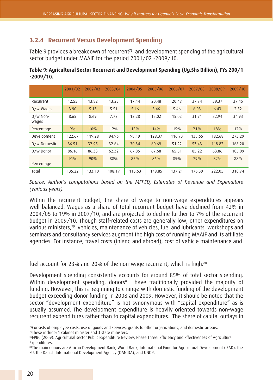### **3.2.4 Recurrent Versus Development Spending**

Table 9 provides a breakdown of recurrent<sup>78</sup> and development spending of the agricultural sector budget under MAAIF for the period 2001/02 -2009/10.

| Table 9: Agricultural Sector Recurrent and Development Spending (Ug.Shs Billion), FYs 200/1 |  |
|---------------------------------------------------------------------------------------------|--|
| $-2009/10.$                                                                                 |  |

|                     | 2001/02 | 2002/03 | 2003/04 | 2004/05 | 2005/06 | 2006/07 | 2007/08 | 2008/09 | 2009/10 |
|---------------------|---------|---------|---------|---------|---------|---------|---------|---------|---------|
| Recurrent           | 12.55   | 13.82   | 13.23   | 17.44   | 20.48   | 20.48   | 37.74   | 39.37   | 37.45   |
| 0/w Wages           | 3.90    | 5.13    | 5.51    | 5.16    | 5.46    | 5.46    | 6.03    | 6.43    | 2.52    |
| $0/w$ Non-<br>wages | 8.65    | 8.69    | 7.72    | 12.28   | 15.02   | 15.02   | 31.71   | 32.94   | 34.93   |
| Percentage          | 9%      | 10%     | $12\%$  | 15%     | 14%     | 15%     | 21%     | 18%     | $12\%$  |
| Development         | 122.67  | 119.28  | 94.96   | 98.19   | 128.37  | 116.73  | 138.65  | 182.68  | 273.29  |
| 0/w Domestic        | 36.51   | 32.95   | 32.64   | 30.34   | 60.69   | 51.22   | 53.43   | 118.82  | 168.20  |
| $0/w$ Donor         | 86.16   | 86.33   | 62.32   | 67.85   | 67.68   | 65.51   | 85.22   | 63.86   | 105.09  |
| Percentage          | 91%     | 90%     | 88%     | 85%     | 86%     | 85%     | 79%     | 82%     | 88%     |
| Total               | 135.22  | 133.10  | 108.19  | 115.63  | 148.85  | 137.21  | 176.39  | 222.05  | 310.74  |

*Source: Author's computations based on the MFPED, Estimates of Revenue and Expenditure (various years).*

Within the recurrent budget, the share of wage to non-wage expenditures appears well balanced. Wages as a share of total recurrent budget have declined from 42% in 2004/05 to 19% in 2007/10, and are projected to decline further to 7% of the recurrent budget in 2009/10. Though staff-related costs are generally low, other expenditures on various ministers,<sup>79</sup> vehicles, maintenance of vehicles, fuel and lubricants, workshops and seminars and consultancy services augment the high cost of running MAAIF and its affiliate agencies. For instance, travel costs (inland and abroad), cost of vehicle maintenance and

fuel account for 23% and 20% of the non-wage recurrent, which is high.<sup>80</sup>

Development spending consistently accounts for around 85% of total sector spending. Within development spending, donors<sup>81</sup> have traditionally provided the majority of funding. However, this is beginning to change with domestic funding of the development budget exceeding donor funding in 2008 and 2009. However, it should be noted that the sector "development expenditure" is not synonymous with "capital expenditure" as is usually assumed. The development expenditure is heavily oriented towards non-wage recurrent expenditures rather than to capital expenditures. The share of capital outlays in

79These include: 1 cabinet minister and 3 state ministers.

<sup>78</sup>Consists of employee costs, use of goods and services, grants to other organizations, and domestic arrears.

<sup>80</sup>EPRC (2009). Agricultural sector Public Expenditure Review, Phase Three: Efficiency and Effectiveness of Agricultural Expenditures.

<sup>81</sup>The main donors are African Development Bank, World Bank, International Fund for Agricultural Development (IFAD), the EU, the Danish International Development Agency (DANIDA), and UNDP.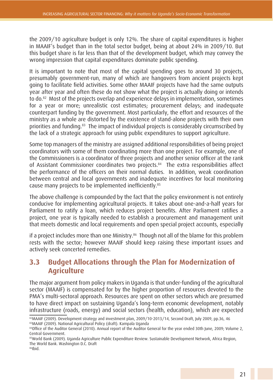the 2009/10 agriculture budget is only 12%. The share of capital expenditures is higher in MAAIF's budget than in the total sector budget, being at about 24% in 2009/10. But this budget share is far less than that of the development budget, which may convey the wrong impression that capital expenditures dominate public spending.

It is important to note that most of the capital spending goes to around 30 projects, presumably government-run, many of which are hangovers from ancient projects kept going to facilitate field activities. Some other MAAIF projects have had the same outputs year after year and often these do not show what the project is actually doing or intends to do.<sup>82</sup> Most of the projects overlap and experience delays in implementation, sometimes for a year or more; unrealistic cost estimates; procurement delays; and inadequate counterpart funding by the government. Most particularly, the effort and resources of the ministry as a whole are distorted by the existence of stand-alone projects with their own priorities and funding.83 The impact of individual projects is considerably circumscribed by the lack of a strategic approach for using public expenditures to support agriculture.

Some top managers of the ministry are assigned additional responsibilities of being project coordinators with some of them coordinating more than one project. For example, one of the Commissioners is a coordinator of three projects and another senior officer at the rank of Assistant Commissioner coordinates two projects.<sup>84</sup> The extra responsibilities affect the performance of the officers on their normal duties. In addition, weak coordination between central and local governments and inadequate incentives for local monitoring cause many projects to be implemented inefficiently.<sup>85</sup>

The above challenge is compounded by the fact that the policy environment is not entirely conducive for implementing agricultural projects. It takes about one-and-a-half years for Parliament to ratify a loan, which reduces project benefits. After Parliament ratifies a project, one year is typically needed to establish a procurement and management unit that meets domestic and local requirements and open special project accounts, especially

if a project includes more than one Ministry.<sup>86</sup> Though not all of the blame for this problem rests with the sector; however MAAIF should keep raising these important issues and actively seek concerted remedies.

## **3.3 Budget Allocations through the Plan for Modernization of Agriculture**

The major argument from policy makers in Uganda is that under-funding of the agricultural sector (MAAIF) is compensated for by the higher proportion of resources devoted to the PMA's multi-sectoral approach. Resources are spent on other sectors which are presumed to have direct impact on sustaining Uganda's long-term economic development, notably infrastructure (roads, energy) and social sectors (health, education), which are expected

<sup>82</sup>MAAIF (2009). Development strategy and investment plan, 2009/10-2013/14, Second Draft, July 2009, pp.36, 46 83MAAIF (2009). National Agricultural Policy (draft). Kampala Uganda

<sup>84</sup>Office of the Auditor General (2010). Annual report of the Auditor General for the year ended 30th June, 2009; Volume 2, Central Government.

<sup>85</sup>World Bank (2009). Uganda Agriculture Public Expenditure Review. Sustainable Development Network, Africa Region, The World Bank. Washington D.C. Draft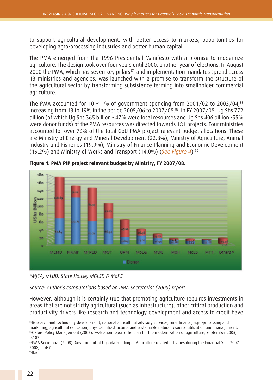to support agricultural development, with better access to markets, opportunities for developing agro-processing industries and better human capital.

The PMA emerged from the 1996 Presidential Manifesto with a promise to modernize agriculture. The design took over four years until 2000, another year of elections. In August 2000 the PMA, which has seven key pillars<sup>87</sup> and implementation mandates spread across 13 ministries and agencies, was launched with a promise to transform the structure of the agricultural sector by transforming subsistence farming into smallholder commercial agriculture.

The PMA accounted for 10 -11% of government spending from 2001/02 to 2003/04,<sup>88</sup> increasing from 13 to 19% in the period 2005/06 to 2007/08.89 In FY 2007/08, Ug.Shs 772 billion (of which Ug.Shs 365 billion - 47% were local resources and Ug.Shs 406 billion -55% were donor funds) of the PMA resources was directed towards 181 projects. Four ministries accounted for over 76% of the total GoU PMA project-relevant budget allocations. These are Ministry of Energy and Mineral Development (22.8%), Ministry of Agriculture, Animal Industry and Fisheries (19.9%), Ministry of Finance Planning and Economic Development (19.2%) and Ministry of Works and Transport (14.0%) (*See Figure 4*).90



**Figure 4: PMA PIP project relevant budget by Ministry, FY 2007/08.**

*\*MJCA, MLUD, State House, MGLSD & MoPS*

*Source: Author's computations based on PMA Secretariat (2008) report.*

However, although it is certainly true that promoting agriculture requires investments in areas that are not strictly agricultural (such as infrastructure), other critical production and productivity drivers like research and technology development and access to credit have

<sup>87</sup>Research and technology development, national agricultural advisory services, rural finance, agro-processing and marketing, agricultural education, physical infrastructure, and sustainable natural resource utilization and management. 88Oxford Policy Management (2005). Evaluation report: The plan for the modernization of agriculture, September 2005, p.107

<sup>89</sup>PMA Secretariat (2008). Government of Uganda Funding of Agriculture related activities during the Financial Year 2007-2008, p. 4-7.

<sup>90</sup>Ibid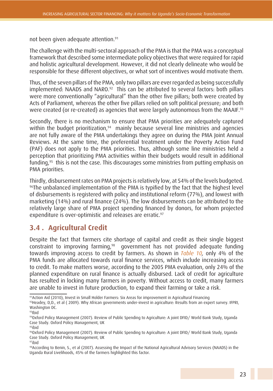not been given adequate attention.<sup>91</sup>

The challenge with the multi-sectoral approach of the PMA is that the PMA was a conceptual framework that described some intermediate policy objectives that were required for rapid and holistic agricultural development. However, it did not clearly delineate who would be responsible for these different objectives, or what sort of incentives would motivate them.

Thus, of the seven pillars of the PMA, only two pillars are ever regarded as being successfully implemented: NAADS and NARO.<sup>92</sup> This can be attributed to several factors: both pillars were more conventionally "agricultural" than the other five pillars; both were created by Acts of Parliament, whereas the other five pillars relied on soft political pressure; and both were created (or re-created) as agencies that were largely autonomous from the MAAIF.<sup>93</sup>

Secondly, there is no mechanism to ensure that PMA priorities are adequately captured within the budget prioritization,<sup>94</sup> mainly because several line ministries and agencies are not fully aware of the PMA undertakings they agree on during the PMA Joint Annual Reviews. At the same time, the preferential treatment under the Poverty Action Fund (PAF) does not apply to the PMA priorities. Thus, although some line ministries held a perception that prioritizing PMA activities within their budgets would result in additional funding,95 this is not the case. This discourages some ministries from putting emphasis on PMA priorities.

Thirdly, disbursement rates on PMA projects is relatively low, at 54% of the levels budgeted. <sup>96</sup>The unbalanced implementation of the PMA is typified by the fact that the highest level of disbursements is registered with policy and institutional reform (77%), and lowest with marketing (14%) and rural finance (24%). The low disbursements can be attributed to the relatively large share of PMA project spending financed by donors, for whom projected expenditure is over-optimistic and releases are erratic.<sup>97</sup>

## **3.4 . Agricultural Credit**

Despite the fact that farmers cite shortage of capital and credit as their single biggest constraint to improving farming,98 government has not provided adequate funding towards improving access to credit by farmers. As shown in *Table 10,* only 4% of the PMA funds are allocated towards rural finance services, which include increasing access to credit. To make matters worse, according to the 2005 PMA evaluation, only 24% of the planned expenditure on rural finance is actually disbursed. Lack of credit for agriculture has resulted in locking many farmers in poverty. Without access to credit, many farmers are unable to invest in future production, to expand their farming or take a risk.

91Action Aid (2010), Invest in Small Holder Farmers: Six Areas for improvement in Agricultural Financing

<sup>92</sup>Headey, D,D., et al (2009). Why African governments under-invest in agriculture: Results from an expert survey. IFPRI, Washington DC.

<sup>93</sup>Ibid

<sup>94</sup>Oxford Policy Management (2007). Review of Public Spending to Agriculture: A joint DFID/World Bank Study, Uganda Case Study. Oxford Policy Management, UK

<sup>95</sup>ibid

<sup>96</sup>Oxford Policy Management (2007). Review of Public Spending to Agriculture: A joint DFID/ World Bank Study, Uganda Case Study. Oxford Policy Management, UK

<sup>97</sup>ibid

<sup>98</sup>According to Benin, S., et al (2007). Assessing the Impact of the National Agricultural Advisory Services (NAADS) in the Uganda Rural Livelihoods, 45% of the farmers highlighted this factor.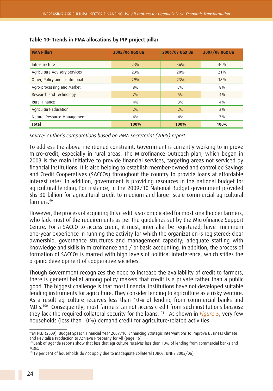| <b>PMA Pillars</b>              | 2005/06 UGX Bn | 2006/07 UGX Bn | 2007/08 UGX Bn |  |
|---------------------------------|----------------|----------------|----------------|--|
|                                 |                |                |                |  |
| Infrastructure                  | 23%            | 36%            | 40%            |  |
| Agriculture Advisory Services   | 23%            | 20%            | 21%            |  |
| Other, Policy and Institutional | 29%            | 23%            | 18%            |  |
| Agro-processing and Market      | 8%             | $7\%$          | 8%             |  |
| Research and Technology         | $7\%$          | 5%             | $4\%$          |  |
| Rural Finance                   | $4\%$          | $3\%$          | $4\%$          |  |
| Agriculture Education           | 2%             | 2%             | $2\%$          |  |
| Natural Resource Management     | $4\%$          | $4\%$          | $3\%$          |  |
| <b>Total</b>                    | 100%           | 100%           | 100%           |  |

#### **Table 10: Trends in PMA allocations by PIP project pillar**

*Source: Author's computations based on PMA Secretariat (2008) report.*

To address the above-mentioned constraint, Government is currently working to improve micro-credit, especially in rural areas. The Microfinance Outreach plan, which began in 2003 is the main initiative to provide financial services, targeting areas not serviced by financial institutions. It is also helping to establish member-owned and controlled Savings and Credit Cooperatives (SACCOs) throughout the country to provide loans at affordable interest rates. In addition, government is providing resources in the national budget for agricultural lending. For instance, in the 2009/10 National Budget government provided Shs 30 billion for agricultural credit to medium and large- scale commercial agricultural farmers.99

However, the process of acquiring this credit is so complicated for most smallholder farmers, who lack most of the requirements as per the guidelines set by the Microfinance Support Centre. For a SACCO to access credit, it must, inter alia: be registered; have minimum one-year experience in running the activity for which the organization is registered; clear ownership, governance structures and management capacity; adequate staffing with knowledge and skills in microfinance and / or basic accounting. In addition, the process of formation of SACCOs is marred with high levels of political interference, which stifles the organic development of cooperative societies.

Though Government recognizes the need to increase the availability of credit to farmers, there is general belief among policy makers that credit is a private rather than a public good. The biggest challenge is that most financial institutions have not developed suitable lending instruments for agriculture. They consider lending to agriculture as a risky venture. As a result agriculture receives less than 10% of lending from commercial banks and MDIs.100 Consequently, most farmers cannot access credit from such institutions because they lack the required collateral security for the loans.101 As shown in *Figure 5*, very few households (less than 10%) demand credit for agriculture-related activities.

<sup>99</sup>MFPED (2009). Budget Speech Financial Year 2009/10: Enhancing Strategic Interventions to Improve Business Climate and Revitalise Production to Achieve Prosperity for All (page 16).

<sup>100</sup>Bank of Uganda reports show that less that agriculture receives less than 10% of lending from commercial banks and MDIs.

<sup>10119</sup> per cent of households do not apply due to inadequate collateral (UBOS, UNHS 2005/06)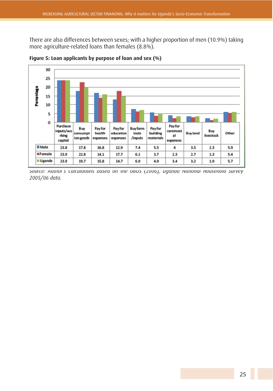There are also differences between sexes; with a higher proportion of men (10.9%) taking more agriculture-related loans than females (8.8%).



**Figure 5: Loan applicants by purpose of loan and sex (%)**

*Source: Author's Calculations based on the UBOS (2006), Uganda National Household Survey 2005/06 data.*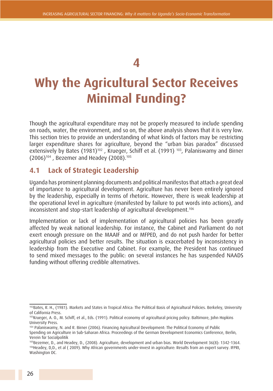## **4**

# **Why the Agricultural Sector Receives Minimal Funding?**

Though the agricultural expenditure may not be properly measured to include spending on roads, water, the environment, and so on, the above analysis shows that it is very low. This section tries to provide an understanding of what kinds of factors may be restricting larger expenditure shares for agriculture, beyond the "urban bias paradox" discussed extensively by Bates (1981)<sup>102</sup>, Krueger, Schiff et al. (1991)<sup>103</sup>, Palaniswamy and Birner (2006)104 , Bezemer and Headey (2008).105

### **4.1 Lack of Strategic Leadership**

Uganda has prominent planning documents and political manifestos that attach a great deal of importance to agricultural development. Agriculture has never been entirely ignored by the leadership, especially in terms of rhetoric. However, there is weak leadership at the operational level in agriculture (manifested by failure to put words into actions), and inconsistent and stop-start leadership of agricultural development.<sup>106</sup>

Implementation or lack of implementation of agricultural policies has been greatly affected by weak national leadership. For instance, the Cabinet and Parliament do not exert enough pressure on the MAAIF and or MFPED, and do not push harder for better agricultural policies and better results. The situation is exacerbated by inconsistency in leadership from the Executive and Cabinet. For example, the President has continued to send mixed messages to the public: on several instances he has suspended NAADS funding without offering credible alternatives.

<sup>102</sup>Bates, R. H., (1981). Markets and States in Tropical Africa: The Political Basis of Agricultural Policies. Berkeley, University of California Press.

<sup>103</sup>Krueger, A. O., M. Schiff, et al., Eds. (1991). Political economy of agricultural pricing policy. Baltimore, John Hopkins University Press.

<sup>104</sup> Palaniswamy, N. and R. Birner (2006). Financing Agricultural Development: The Political Economy of Public Spending on Agriculture in Sub-Saharan Africa. Proceedings of the German Development Economics Conference, Berlin, Verein für Socialpolitik

<sup>105</sup>Bezemer, D., and Headey, D., (2008). Agriculture, development and urban bias. World Development 36(8): 1342-1364. 106Headey, D,D., et al ( 2009). Why African governments under-invest in agriculture: Results from an expert survey. IFPRI, Washington DC.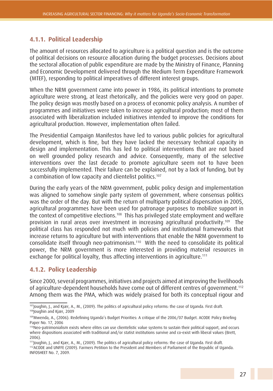#### **4.1.1. Political Leadership**

The amount of resources allocated to agriculture is a political question and is the outcome of political decisions on resource allocation during the budget processes. Decisions about the sectoral allocation of public expenditure are made by the Ministry of Finance, Planning and Economic Development delivered through the Medium Term Expenditure Framework (MTEF), responding to political imperatives of different interest groups.

When the NRM government came into power in 1986, its political intentions to promote agriculture were strong, at least rhetorically, and the policies were very good on paper. The policy design was mostly based on a process of economic policy analysis. A number of programmes and initiatives were taken to increase agricultural production; most of them associated with liberalization included initiatives intended to improve the conditions for agricultural production. However, implementation often failed.

The Presidential Campaign Manifestos have led to various public policies for agricultural development, which is fine, but they have lacked the necessary technical capacity in design and implementation. This has led to political interventions that are not based on well grounded policy research and advice. Consequently, many of the selective interventions over the last decade to promote agriculture seem not to have been successfully implemented. Their failure can be explained, not by a lack of funding, but by a combination of low capacity and clientelist politics.<sup>107</sup>

During the early years of the NRM government, public policy design and implementation was aligned to somehow single party system of government, where consensus politics was the order of the day. But with the return of multiparty political dispensation in 2005, agricultural programmes have been used for patronage purposes to mobilize support in the context of competitive elections.108 This has privileged state employment and welfare provision in rural areas over investment in increasing agricultural productivity.109 The political class has responded not much with policies and institutional frameworks that increase returns to agriculture but with interventions that enable the NRM government to consolidate itself through neo-patrimonism.110 With the need to consolidate its political power, the NRM government is more interested in providing material resources in exchange for political loyalty, thus affecting interventions in agriculture.<sup>111</sup>

#### **4.1.2. Policy Leadership**

Since 2000, several programmes, initiatives and projects aimed at improving the livelihoods of agriculture-dependent households have come out of different centres of government.<sup>112</sup> Among them was the PMA, which was widely praised for both its conceptual rigour and

<sup>107</sup>Joughin, J., and Kjær, A., M., (2009). The politics of agricultural policy reforms: the case of Uganda. First draft. 108 Joughin and Kjær, 2009

<sup>109</sup>Mwenda, A., (2006). Redefining Uganda's Budget Priorities: A critique of the 2006/07 Budget. ACODE Policy Briefing Paper No. 17, 2006

<sup>110</sup>Neo-patrimonialism exists where elites can use clientelistic value systems to sustain their political support, and occurs where dispositions associated with traditional and/or statist institutions survive and co-exist with liberal values (Brett, 2006).

<sup>111</sup>Joughin, J., and Kjær, A., M., (2009). The politics of agricultural policy reforms: the case of Uganda. First draft.

<sup>112</sup>ACODE and UNFFE (2009). Farmers Petition to the President and Members of Parliament of the Republic of Uganda. INFOSHEET No. 7, 2009.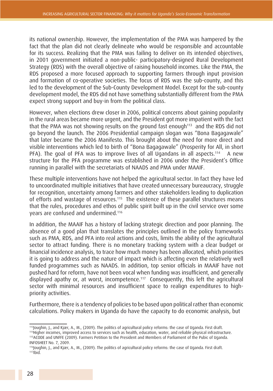its national ownership. However, the implementation of the PMA was hampered by the fact that the plan did not clearly delineate who would be responsible and accountable for its success. Realizing that the PMA was failing to deliver on its intended objectives, in 2001 government initiated a non-public- participatory-designed Rural Development Strategy (RDS) with the overall objective of raising household incomes. Like the PMA, the RDS proposed a more focused approach to supporting farmers through input provision and formation of co-operative societies. The focus of RDS was the sub-county, and this led to the development of the Sub-County Development Model. Except for the sub-county development model, the RDS did not have something substantially different from the PMA expect strong support and buy-in from the political class.

However, when elections drew closer in 2006, political concerns about gaining popularity in the rural areas became more urgent, and the President got more impatient with the fact that the PMA was not showing results on the ground fast enough<sup>113</sup> and the RDS did not go beyond the launch. The 2006 Presidential campaign slogan was "Bona Bagagawale" that later became the 2006 Manifesto. This brought about the need for more direct and visible interventions which led to birth of "Bona Bagagawale" (Prosperity for All, in short PFA). The goal of PFA was to improve lives of all Ugandans in all aspects.<sup>114</sup> A new structure for the PFA programme was established in 2006 under the President's Office running in parallel with the secretariats of NAADS and PMA under MAAIF.

These multiple interventions have not helped the agricultural sector. In fact they have led to uncoordinated multiple initiatives that have created unnecessary bureaucracy, struggle for recognition, uncertainty among farmers and other stakeholders leading to duplication of efforts and wastage of resources.<sup>115</sup> The existence of these parallel structures means that the rules, procedures and ethos of public spirit built up in the civil service over some years are confused and undermined.116

In addition, the MAAIF has a history of lacking strategic direction and poor planning. The absence of a good plan that translates the principles outlined in the policy frameworks such as PMA, RDS, and PFA into real actions and costs, limits the ability of the agricultural sector to attract funding. There is no monetary tracking system with a clear budget or financial incidence analysis, to trace how much money has been allocated, which priorities it is going to address and the nature of impact which is affecting even the relatively well funded programmes such as NAADS. In addition, top senior officials in MAAIF have not pushed hard for reform, have not been vocal when funding was insufficient, and generally displayed apathy or, at worst, incompetence.<sup>117</sup> Consequently, this left the agricultural sector with minimal resources and insufficient space to realign expenditures to highpriority activities.

Furthermore, there is a tendency of policies to be based upon political rather than economic calculations. Policy makers in Uganda do have the capacity to do economic analysis, but

<sup>113</sup>Joughin, J., and Kjær, A., M., (2009). The politics of agricultural policy reforms: the case of Uganda. First draft.

<sup>114</sup>Higher incomes, improved access to services such as health, education, water, and reliable physical infrastructure. 115ACODE and UNFFE (2009). Farmers Petition to the President and Members of Parliament of the Pubic of Uganda.

INFOSHEET No. 7, 2009.

<sup>116</sup>Joughin, J., and Kjær, A., M., (2009). The politics of agricultural policy reforms: the case of Uganda. First draft.  $117$ Ibid.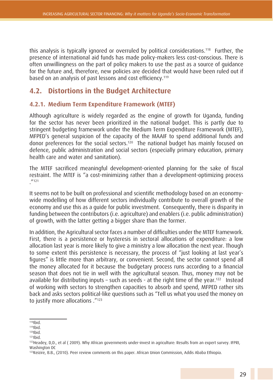this analysis is typically ignored or overruled by political considerations.118 Further, the presence of international aid funds has made policy-makers less cost-conscious. There is often unwillingness on the part of policy makers to use the past as a source of guidance for the future and, therefore, new policies are decided that would have been ruled out if based on an analysis of past lessons and cost efficiency.<sup>119</sup>

## **4.2. Distortions in the Budget Architecture**

#### **4.2.1. Medium Term Expenditure Framework (MTEF)**

Although agriculture is widely regarded as the engine of growth for Uganda, funding for the sector has never been prioritized in the national budget. This is partly due to stringent budgeting framework under the Medium Term Expenditure Framework (MTEF), MFPED's general suspicion of the capacity of the MAAIF to spend additional funds and donor preferences for the social sectors.<sup>120</sup> The national budget has mainly focused on defence, public administration and social sectors (especially primary education, primary health care and water and sanitation).

The MTEF sacrificed meaningful development-oriented planning for the sake of fiscal restraint. The MTEF is "a cost-minimizing rather than a development-optimizing process  $111$ 

It seems not to be built on professional and scientific methodology based on an economywide modelling of how different sectors individually contribute to overall growth of the economy and use this as a guide for public investment. Consequently, there is disparity in funding between the contributors (i.e. agriculture) and enablers (i.e. public administration) of growth, with the latter getting a bigger share than the former.

In addition, the Agricultural sector faces a number of difficulties under the MTEF framework. First, there is a persistence or hysteresis in sectoral allocations of expenditure: a low allocation last year is more likely to give a ministry a low allocation the next year. Though to some extent this persistence is necessary, the process of "just looking at last year's figures" is little more than arbitrary, or convenient. Second, the sector cannot spend all the money allocated for it because the budgetary process runs according to a financial season that does not tie in well with the agricultural season. Thus, money may not be available for distributing inputs – such as seeds - at the right time of the year.<sup>122</sup> Instead of working with sectors to strengthen capacities to absorb and spend, MFPED rather sits back and asks sectors political-like questions such as "Tell us what you used the money on to justify more allocations ."123

 $118$ Ibid.

 $119$ Ibid.

 $120$ Ibid.  $121$ Ibid.

<sup>122</sup>Headey, D,D., et al ( 2009). Why African governments under-invest in agriculture: Results from an expert survey. IFPRI, Washington DC

<sup>123</sup>Keizire, B.B., (2010). Peer review comments on this paper. African Union Commission, Addis Ababa Ethiopia.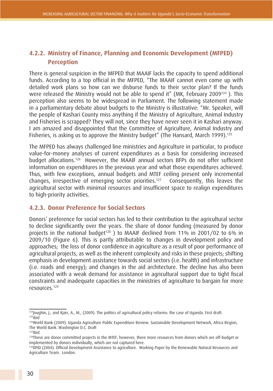### **4.2.2. Ministry of Finance, Planning and Economic Development (MFPED) Perception**

There is general suspicion in the MFPED that MAAIF lacks the capacity to spend additional funds. According to a top official in the MFPED, "The MAAIF cannot even come up with detailed work plans so how can we disburse funds to their sector plan? If the funds were released the Ministry would not be able to spend it" (MK, February 2009124 ). This perception also seems to be widespread in Parliament. The following statement made in a parliamentary debate about budgets to the Ministry is illustrative: "Mr. Speaker, will the people of Kashari County miss anything if the Ministry of Agriculture, Animal Industry and Fisheries is scrapped? They will not, since they have never seen it in Kashari anyway. I am amazed and disappointed that the Committee of Agriculture, Animal Industry and Fisheries, is asking us to approve the Ministry budget" (The Hansard, March 1999).<sup>125</sup>

The MFPED has always challenged line ministries and Agriculture in particular, to produce value-for-money analyses of current expenditures as a basis for considering increased budget allocations.126 However, the MAAIF annual sectors BFPs do not offer sufficient information on expenditures in the previous year and what those expenditures achieved. Thus, with few exceptions, annual budgets and MTEF ceiling present only incremental changes, irrespective of emerging sector priorities.127 Consequently, this leaves the agricultural sector with minimal resources and insufficient space to realign expenditures to high-priority activities.

#### **4.2.3. Donor Preference for Social Sectors**

Donors' preference for social sectors has led to their contribution to the agricultural sector to decline significantly over the years. The share of donor funding (measured by donor projects in the national budget<sup>128</sup>) to MAAIF declined from 11% in 2001/02 to 6% in 2009/10 (Figure 6). This is partly attributable to changes in development policy and approaches; the loss of donor confidence in agriculture as a result of poor performance of agricultural projects, as well as the inherent complexity and risks in these projects; shifting emphasis in development assistance towards social sectors (i.e. health) and infrastructure (i.e. roads and energy); and changes in the aid architecture. The decline has also been associated with a weak demand for assistance in agricultural support due to tight fiscal constraints and inadequate capacities in the ministries of agriculture to bargain for more resources.129

<sup>124</sup>Joughin, J., and Kjær, A., M., (2009). The politics of agricultural policy reforms: the case of Uganda. First draft.  $125$ ibid

<sup>126</sup>World Bank (2009). Uganda Agriculture Public Expenditure Review. Sustainable Development Network, Africa Region, The World Bank. Washington D.C. Draft  $127$ Ibid

<sup>&</sup>lt;sup>128</sup>These are donor committed projects in the MTEF, however, there more resources from donors which are off-budget or implemented by donors individually, which are not captured here.

<sup>&</sup>lt;sup>129</sup>DFID (2004). Official Development Assistance to agriculture. Working Paper by the Renewable Natural Resources and Agriculture Team. London.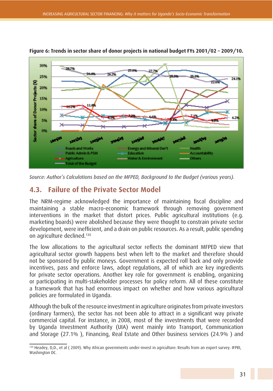

#### **Figure 6: Trends in sector share of donor projects in national budget FYs 2001/02 – 2009/10.**

*Source: Author's Calculations based on the MFPED, Background to the Budget (various years).*

## **4.3. Failure of the Private Sector Model**

The NRM-regime acknowledged the importance of maintaining fiscal discipline and maintaining a stable macro-economic framework through removing government interventions in the market that distort prices. Public agricultural institutions (e.g. marketing boards) were abolished because they were thought to constrain private sector development, were inefficient, and a drain on public resources. As a result, public spending on agriculture declined.<sup>130</sup>

The low allocations to the agricultural sector reflects the dominant MFPED view that agricultural sector growth happens best when left to the market and therefore should not be sponsored by public moneys. Government is expected roll back and only provide incentives, pass and enforce laws, adopt regulations, all of which are key ingredients for private sector operations. Another key role for government is enabling, organizing or participating in multi-stakeholder processes for policy reform. All of these constitute a framework that has had enormous impact on whether and how various agricultural policies are formulated in Uganda.

Although the bulk of the resource investment in agriculture originates from private investors (ordinary farmers), the sector has not been able to attract in a significant way private commercial capital. For instance, in 2008, most of the investments that were recorded by Uganda Investment Authority (UIA) went mainly into Transport, Communication and Storage (27.1% ), Financing, Real Estate and Other business services (24.9% ) and

<sup>130</sup> Headey, D,D., et al (2009). Why African governments under-invest in agriculture: Results from an expert survey. IFPRI, Washington DC.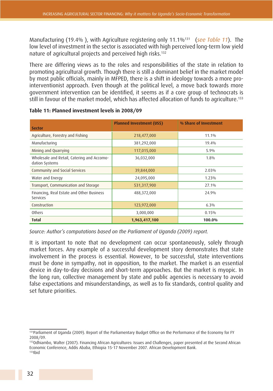Manufacturing (19.4% ), with Agriculture registering only 11.1%131 (*see Table 11*). The low level of investment in the sector is associated with high perceived long-term low yield nature of agricultural projects and perceived high risks.<sup>132</sup>

There are differing views as to the roles and responsibilities of the state in relation to promoting agricultural growth. Though there is still a dominant belief in the market model by most public officials, mainly in MFPED, there is a shift in ideology towards a more prointerventionist approach. Even though at the political level, a move back towards more government intervention can be identified, it seems as if a core group of technocrats is still in favour of the market model, which has affected allocation of funds to agriculture.<sup>133</sup>

| <b>Sector</b>                                                | <b>Planned Investment (US\$)</b> | % Share of Investment |  |
|--------------------------------------------------------------|----------------------------------|-----------------------|--|
|                                                              |                                  |                       |  |
| Agriculture, Forestry and Fishing                            | 218,477,000                      | 11.1%                 |  |
| Manufacturing                                                | 381,292,000                      | 19.4%                 |  |
| Mining and Quarrying                                         | 117,015,000                      | 5.9%                  |  |
| Wholesale and Retail, Catering and Accomo-<br>dation Systems | 36,032,000                       | 1.8%                  |  |
| Community and Social Services                                | 39,844,000                       | 2.03%                 |  |
| Water and Energy                                             | 24,095,000                       | 1.23%                 |  |
| Transport, Communication and Storage                         | 531,317,900                      | 27.1%                 |  |
| Financing, Real Estate and Other Business<br>Services        | 488,372,000                      | 24.9%                 |  |
| Construction                                                 | 123,972,000                      | 6.3%                  |  |
| Others                                                       | 3,000,000                        | 0.15%                 |  |
| <b>Total</b>                                                 | 1,963,417,100                    | 100.0%                |  |

**Table 11: Planned investment levels in 2008/09**

*Source: Author's computations based on the Parliament of Uganda (2009) report.*

It is important to note that no development can occur spontaneously, solely through market forces. Any example of a successful development story demonstrates that state involvement in the process is essential. However, to be successful, state interventions must be done in sympathy, not in opposition, to the market. The market is an essential device in day-to-day decisions and short-term approaches. But the market is myopic. In the long run, collective management by state and public agencies is necessary to avoid false expectations and misunderstandings, as well as to fix standards, control quality and set future priorities.

<sup>&</sup>lt;sup>131</sup>Parliament of Uganda (2009). Report of the Parliamentary Budget Office on the Performance of the Economy for FY 2008/09.

<sup>132</sup>Odhiambo, Walter (2007). Financing African Agricultures: Issues and Challenges, paper presented at the Second African Economic Conference, Addis Ababa, Ethiopia 15-17 November 2007. African Development Bank. 133Ibid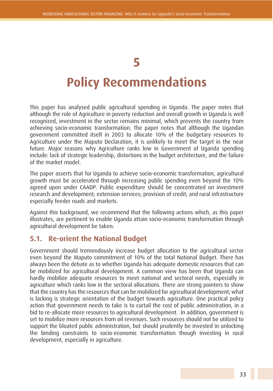## **5**

## **Policy Recommendations**

This paper has analysed public agricultural spending in Uganda. The paper notes that although the role of Agriculture in poverty reduction and overall growth in Uganda is well recognized, investment in the sector remains minimal, which prevents the country from achieving socio-economic transformation. The paper notes that although the Ugandan government committed itself in 2003 to allocate 10% of the budgetary resources to Agriculture under the Maputo Declaration, it is unlikely to meet the target in the near future. Major reasons why Agriculture ranks low in Government of Uganda spending include: lack of strategic leadership, distortions in the budget architecture, and the failure of the market model.

The paper asserts that for Uganda to achieve socio-economic transformation, agricultural growth must be accelerated through increasing public spending even beyond the 10% agreed upon under CAADP. Public expenditure should be concentrated on investment research and development; extension services; provision of credit; and rural infrastructure especially feeder roads and markets.

Against this background, we recommend that the following actions which, as this paper illustrates, are pertinent to enable Uganda attain socio-economic transformation through agricultural development be taken:

## **5.1. Re-orient the National Budget**

Government should tremendously increase budget allocation to the agricultural sector even beyond the Maputo commitment of 10% of the total National Budget. There has always been the debate as to whether Uganda has adequate domestic resources that can be mobilized for agricultural development. A common view has been that Uganda can hardly mobilize adequate resources to meet national and sectoral needs, especially in agriculture which ranks low in the sectoral allocations. There are strong pointers to show that the country has the resources that can be mobilized for agricultural development; what is lacking is strategic orientation of the budget towards agriculture. One practical policy action that government needs to take is to curtail the cost of public administration, in a bid to re-allocate more resources to agricultural development. In addition, government is set to mobilize more resources from oil revenues. Such resources should not be utilized to support the bloated public administration, but should prudently be invested in unlocking the binding constraints to socio-economic transformation though investing in rural development, especially in agriculture.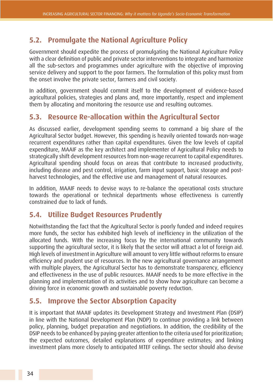## **5.2. Promulgate the National Agriculture Policy**

Government should expedite the process of promulgating the National Agriculture Policy with a clear definition of public and private sector interventions to integrate and harmonize all the sub-sectors and programmes under agriculture with the objective of improving service delivery and support to the poor farmers. The formulation of this policy must from the onset involve the private sector, farmers and civil society.

In addition, government should commit itself to the development of evidence-based agricultural policies, strategies and plans and, more importantly, respect and implement them by allocating and monitoring the resource use and resulting outcomes.

## **5.3. Resource Re-allocation within the Agricultural Sector**

As discussed earlier, development spending seems to command a big share of the Agricultural Sector budget. However, this spending is heavily oriented towards non-wage recurrent expenditures rather than capital expenditures. Given the low levels of capital expenditure, MAAIF as the key architect and implementer of Agricultural Policy needs to strategically shift development resources from non-wage recurrent to capital expenditures. Agricultural spending should focus on areas that contribute to increased productivity, including disease and pest control, irrigation, farm input support, basic storage and postharvest technologies, and the effective use and management of natural resources.

In addition, MAAIF needs to devise ways to re-balance the operational costs structure towards the operational or technical departments whose effectiveness is currently constrained due to lack of funds.

### **5.4. Utilize Budget Resources Prudently**

Notwithstanding the fact that the Agricultural Sector is poorly funded and indeed requires more funds, the sector has exhibited high levels of inefficiency in the utilization of the allocated funds. With the increasing focus by the international community towards supporting the agricultural sector, it is likely that the sector will attract a lot of foreign aid. High levels of investment in Agriculture will amount to very little without reforms to ensure efficiency and prudent use of resources. In the new agricultural governance arrangement with multiple players, the Agricultural Sector has to demonstrate transparency, efficiency and effectiveness in the use of public resources. MAAIF needs to be more effective in the planning and implementation of its activities and to show how agriculture can become a driving force in economic growth and sustainable poverty reduction.

## **5.5. Improve the Sector Absorption Capacity**

It is important that MAAIF updates its Development Strategy and Investment Plan (DSIP) in line with the National Development Plan (NDP) to continue providing a link between policy, planning, budget preparation and negotiations. In addition, the credibility of the DSIP needs to be enhanced by paying greater attention to the criteria used for prioritization; the expected outcomes, detailed explanations of expenditure estimates; and linking investment plans more closely to anticipated MTEF ceilings. The sector should also devise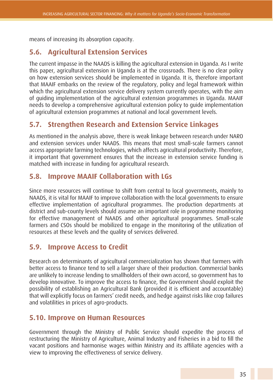means of increasing its absorption capacity.

## **5.6. Agricultural Extension Services**

The current impasse in the NAADS is killing the agricultural extension in Uganda. As I write this paper, agricultural extension in Uganda is at the crossroads. There is no clear policy on how extension services should be implemented in Uganda. It is, therefore important that MAAIF embarks on the review of the regulatory, policy and legal framework within which the agricultural extension service delivery system currently operates, with the aim of guiding implementation of the agricultural extension programmes in Uganda. MAAIF needs to develop a comprehensive agricultural extension policy to guide implementation of agricultural extension programmes at national and local government levels.

### **5.7. Strengthen Research and Extension Service Linkages**

As mentioned in the analysis above, there is weak linkage between research under NARO and extension services under NAADS. This means that most small-scale farmers cannot access appropriate farming technologies, which affects agricultural productivity. Therefore, it important that government ensures that the increase in extension service funding is matched with increase in funding for agricultural research.

### **5.8. Improve MAAIF Collaboration with LGs**

Since more resources will continue to shift from central to local governments, mainly to NAADS, it is vital for MAAIF to improve collaboration with the local governments to ensure effective implementation of agricultural programmes. The production departments at district and sub-county levels should assume an important role in programme monitoring for effective management of NAADS and other agricultural programmes. Small-scale farmers and CSOs should be mobilized to engage in the monitoring of the utilization of resources at these levels and the quality of services delivered.

### **5.9. Improve Access to Credit**

Research on determinants of agricultural commercialization has shown that farmers with better access to finance tend to sell a larger share of their production. Commercial banks are unlikely to increase lending to smallholders of their own accord, so government has to develop innovative. To improve the access to finance, the Government should exploit the possibility of establishing an Agricultural Bank (provided it is efficient and accountable) that will explicitly focus on farmers' credit needs, and hedge against risks like crop failures and volatilities in prices of agro-products.

### **5.10. Improve on Human Resources**

Government through the Ministry of Public Service should expedite the process of restructuring the Ministry of Agriculture, Animal Industry and Fisheries in a bid to fill the vacant positions and harmonise wages within Ministry and its affiliate agencies with a view to improving the effectiveness of service delivery.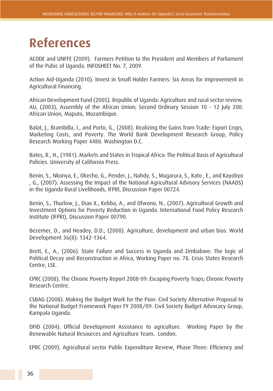## **References**

ACODE and UNFFE (2009). Farmers Petition to the President and Members of Parliament of the Pubic of Uganda. INFOSHEET No. 7, 2009.

Action Aid-Uganda (2010). Invest in Small Holder Farmers: Six Areas for improvement in Agricultural Financing.

African Development Fund (2005). Republic of Uganda: Agriculture and rural sector review. AU, (2003), Assembly of the African Union; Second Ordinary Session 10 - 12 July 200. African Union, Maputo, Mozambique.

Balat, J., Brambilla, I., and Porto, G., (2008). Realizing the Gains from Trade: Export Crops, Marketing Costs, and Poverty. The World Bank Development Research Group, Policy Research Working Paper 4488. Washington D.C.

Bates, R., H., (1981). Markets and States in Tropical Africa: The Political Basis of Agricultural Policies. University of California Press.

Benin, S., Nkonya, E., Okecho, G., Pender, J., Nahdy, S., Mugarura, S., Kato , E., and Kayobyo , G., (2007). Assessing the Impact of the National Agricultural Advisory Services (NAADS) in the Uganda Rural Livelihoods, IFPRI, Discussion Paper 00724.

Benin, S., Thurlow, J., Diao X., Kebba, A., and Ofwono, N., (2007). Agricultural Growth and Investment Options for Poverty Reduction in Uganda. International Food Policy Research Institute (IFPRI), Discussion Paper 00790.

Bezemer, D., and Headey, D.D., (2008). Agriculture, development and urban bias. World Development 36(8): 1342-1364.

Brett, E., A., (2006). State Failure and Success in Uganda and Zimbabwe: The logic of Political Decay and Reconstruction in Africa, Working Paper no. 78. Crisis States Research Centre, LSE.

CPRC (2008). The Chronic Poverty Report 2008-09: Escaping Poverty Traps; Chronic Poverty Research Centre.

CSBAG (2008). Making the Budget Work for the Poor: Civil Society Alternative Proposal to the National Budget Framework Paper FY 2008/09. Civil Society Budget Advocacy Group, Kampala Uganda.

DFID (2004). Official Development Assistance to agriculture. Working Paper by the Renewable Natural Resources and Agriculture Team. London.

EPRC (2009). Agricultural sector Public Expenditure Review, Phase Three: Efficiency and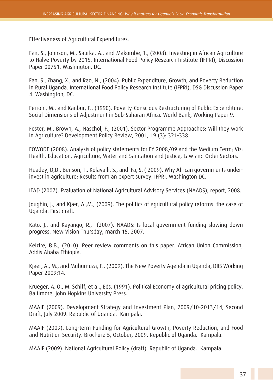Effectiveness of Agricultural Expenditures.

Fan, S., Johnson, M., Saurka, A., and Makombe, T., (2008). Investing in African Agriculture to Halve Poverty by 2015. International Food Policy Research Institute (IFPRI), Discussion Paper 00751. Washington, DC.

Fan, S., Zhang, X., and Rao, N., (2004). Public Expenditure, Growth, and Poverty Reduction in Rural Uganda. International Food Policy Research Institute (IFPRI), DSG Discussion Paper 4. Washington, DC.

Ferroni, M., and Kanbur, F., (1990). Poverty-Conscious Restructuring of Public Expenditure: Social Dimensions of Adjustment in Sub-Saharan Africa. World Bank, Working Paper 9.

Foster, M., Brown, A., Naschol, F., (2001). Sector Programme Approaches: Will they work in Agriculture? Development Policy Review, 2001, 19 (3): 321-338.

FOWODE (2008). Analysis of policy statements for FY 2008/09 and the Medium Term; Viz: Health, Education, Agriculture, Water and Sanitation and Justice, Law and Order Sectors.

Headey, D,D., Benson, T., Kolavalli, S., and Fa, S. ( 2009). Why African governments underinvest in agriculture: Results from an expert survey. IFPRI, Washington DC.

ITAD (2007). Evaluation of National Agricultural Advisory Services (NAADS), report, 2008.

Joughin, J., and Kjær, A.,M., (2009). The politics of agricultural policy reforms: the case of Uganda. First draft.

Kato, J., and Kayango, R., (2007). NAADS: Is local government funding slowing down progress. New Vision Thursday, march 15, 2007.

Keizire, B.B., (2010). Peer review comments on this paper. African Union Commission, Addis Ababa Ethiopia.

Kjaer, A., M., and Muhumuza, F., (2009). The New Poverty Agenda in Uganda, DIIS Working Paper 2009:14.

Krueger, A. O., M. Schiff, et al., Eds. (1991). Political Economy of agricultural pricing policy. Baltimore, John Hopkins University Press.

MAAIF (2009). Development Strategy and Investment Plan, 2009/10-2013/14, Second Draft, July 2009. Republic of Uganda. Kampala.

MAAIF (2009). Long-term Funding for Agricultural Growth, Poverty Reduction, and Food and Nutrition Security. Brochure 5, October, 2009. Republic of Uganda. Kampala.

MAAIF (2009). National Agricultural Policy (draft). Republic of Uganda. Kampala.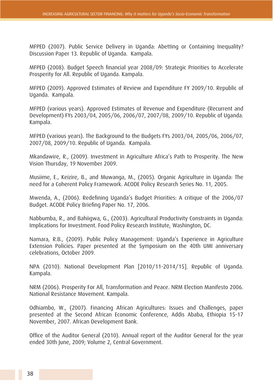MFPED (2007). Public Service Delivery in Uganda: Abetting or Containing Inequality? Discussion Paper 13. Republic of Uganda. Kampala.

MFPED (2008). Budget Speech financial year 2008/09: Strategic Priorities to Accelerate Prosperity for All. Republic of Uganda. Kampala.

MFPED (2009). Approved Estimates of Review and Expenditure FY 2009/10. Republic of Uganda. Kampala.

MFPED (various years). Approved Estimates of Revenue and Expenditure (Recurrent and Development) FYs 2003/04, 2005/06, 2006/07, 2007/08, 2009/10. Republic of Uganda. Kampala.

MFPED (various years). The Background to the Budgets FYs 2003/04, 2005/06, 2006/07, 2007/08, 2009/10. Republic of Uganda. Kampala.

Mkandawire, R., (2009). Investment in Agriculture Africa's Path to Prosperity. The New Vision Thursday, 19 November 2009.

Musiime, E., Keizire, B., and Muwanga, M., (2005). Organic Agriculture in Uganda: The need for a Coherent Policy Framework. ACODE Policy Research Series No. 11, 2005.

Mwenda, A., (2006). Redefining Uganda's Budget Priorities: A critique of the 2006/07 Budget. ACODE Policy Briefing Paper No. 17, 2006.

Nabbumba, R., and Bahiigwa, G., (2003). Agricultural Productivity Constraints in Uganda: Implications for Investment. Food Policy Research Institute, Washington, DC.

Namara, R.B., (2009). Public Policy Management: Uganda's Experience in Agriculture Extension Policies. Paper presented at the Symposium on the 40th UMI anniversary celebrations, October 2009.

NPA (2010). National Development Plan [2010/11-2014/15]. Republic of Uganda. Kampala.

NRM (2006). Prosperity For All, Transformation and Peace. NRM Election Manifesto 2006. National Resistance Movement. Kampala.

Odhiambo, W., (2007). Financing African Agricultures: Issues and Challenges, paper presented at the Second African Economic Conference, Addis Ababa, Ethiopia 15-17 November, 2007. African Development Bank.

Office of the Auditor General (2010). Annual report of the Auditor General for the year ended 30th June, 2009; Volume 2, Central Government.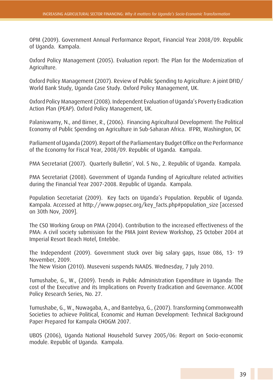OPM (2009). Government Annual Performance Report, Financial Year 2008/09. Republic of Uganda. Kampala.

Oxford Policy Management (2005). Evaluation report: The Plan for the Modernization of Agriculture.

Oxford Policy Management (2007). Review of Public Spending to Agriculture: A joint DFID/ World Bank Study, Uganda Case Study. Oxford Policy Management, UK.

Oxford Policy Management (2008). Independent Evaluation of Uganda's Poverty Eradication Action Plan (PEAP). Oxford Policy Management, UK.

Palaniswamy, N., and Birner, R., (2006). Financing Agricultural Development: The Political Economy of Public Spending on Agriculture in Sub-Saharan Africa. IFPRI, Washington, DC

Parliament of Uganda (2009). Report of the Parliamentary Budget Office on the Performance of the Economy for Fiscal Year, 2008/09. Republic of Uganda. Kampala.

PMA Secretariat (2007). Quarterly Bulletin', Vol. 5 No., 2. Republic of Uganda. Kampala.

PMA Secretariat (2008). Government of Uganda Funding of Agriculture related activities during the Financial Year 2007-2008. Republic of Uganda. Kampala.

Population Secretariat (2009). Key facts on Uganda's Population. Republic of Uganda. Kampala. Accessed at http://www.popsec.org/key\_facts.php#population\_size [accessed on 30th Nov, 2009].

The CSO Working Group on PMA (2004). Contribution to the increased effectiveness of the PMA: A civil society submission for the PMA Joint Review Workshop, 25 October 2004 at Imperial Resort Beach Hotel, Entebbe.

The Independent (2009). Government stuck over big salary gaps, Issue 086, 13- 19 November, 2009. The New Vision (2010). Museveni suspends NAADS. Wednesday, 7 July 2010.

Tumushabe, G., W., (2009). Trends in Public Administration Expenditure in Uganda: The cost of the Executive and its Implications on Poverty Eradication and Governance. ACODE Policy Research Series, No. 27.

Tumushabe, G., W., Nuwagaba, A., and Bantebya, G., (2007). Transforming Commonwealth Societies to achieve Political, Economic and Human Development: Technical Background Paper Prepared for Kampala CHOGM 2007.

UBOS (2006), Uganda National Household Survey 2005/06: Report on Socio-economic module. Republic of Uganda. Kampala.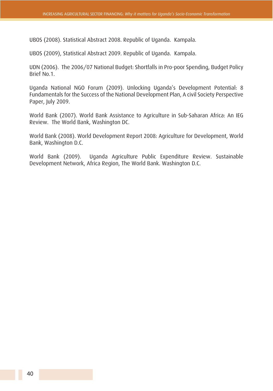UBOS (2008). Statistical Abstract 2008. Republic of Uganda. Kampala.

UBOS (2009), Statistical Abstract 2009. Republic of Uganda. Kampala.

UDN (2006). The 2006/07 National Budget: Shortfalls in Pro-poor Spending, Budget Policy Brief No.1.

Uganda National NGO Forum (2009). Unlocking Uganda's Development Potential: 8 Fundamentals for the Success of the National Development Plan, A civil Society Perspective Paper, July 2009.

World Bank (2007). World Bank Assistance to Agriculture in Sub-Saharan Africa: An IEG Review. The World Bank, Washington DC.

World Bank (2008). World Development Report 2008: Agriculture for Development, World Bank, Washington D.C.

World Bank (2009). Uganda Agriculture Public Expenditure Review. Sustainable Development Network, Africa Region, The World Bank. Washington D.C.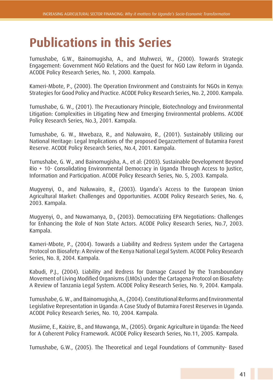## **Publications in this Series**

Tumushabe, G.W., Bainomugisha, A., and Muhwezi, W., (2000). Towards Strategic Engagement: Government NGO Relations and the Quest for NGO Law Reform in Uganda. ACODE Policy Research Series, No. 1, 2000. Kampala.

Kameri-Mbote, P., (2000). The Operation Environment and Constraints for NGOs in Kenya: Strategies for Good Policy and Practice. ACODE Policy Research Series, No. 2, 2000. Kampala.

Tumushabe, G. W., (2001). The Precautionary Principle, Biotechnology and Environmental Litigation: Complexities in Litigating New and Emerging Environmental problems. ACODE Policy Research Series, No.3, 2001. Kampala.

Tumushabe, G. W., Mwebaza, R., and Naluwairo, R., (2001). Sustainably Utilizing our National Heritage: Legal Implications of the proposed Degazzettement of Butamira Forest Reserve. ACODE Policy Research Series, No.4, 2001. Kampala.

Tumushabe, G. W., and Bainomugisha, A., et al: (2003). Sustainable Development Beyond Rio + 10- Consolidating Environmental Democracy in Uganda Through Access to Justice, Information and Participation. ACODE Policy Research Series, No. 5, 2003. Kampala.

Mugyenyi, O., and Naluwairo, R., (2003). Uganda's Access to the European Union Agricultural Market: Challenges and Opportunities. ACODE Policy Research Series, No. 6, 2003. Kampala.

Mugyenyi, O., and Nuwamanya, D., (2003). Democratizing EPA Negotiations: Challenges for Enhancing the Role of Non State Actors. ACODE Policy Research Series, No.7, 2003. Kampala.

Kameri-Mbote, P., (2004). Towards a Liability and Redress System under the Cartagena Protocol on Biosafety: A Review of the Kenya National Legal System. ACODE Policy Research Series, No. 8, 2004. Kampala.

Kabudi, P.J., (2004). Liability and Redress for Damage Caused by the Transboundary Movement of Living Modified Organisms (LMOs) under the Cartagena Protocol on Biosafety: A Review of Tanzania Legal System. ACODE Policy Research Series, No. 9, 2004. Kampala.

Tumushabe, G. W., and Bainomugisha, A., (2004). Constitutional Reforms and Environmental Legislative Representation in Uganda: A Case Study of Butamira Forest Reserves in Uganda. ACODE Policy Research Series, No. 10, 2004. Kampala.

Musiime, E., Kaizire, B., and Muwanga, M., (2005). Organic Agriculture in Uganda: The Need for A Coherent Policy Framework. ACODE Policy Research Series, No.11, 2005. Kampala.

Tumushabe, G.W., (2005). The Theoretical and Legal Foundations of Community- Based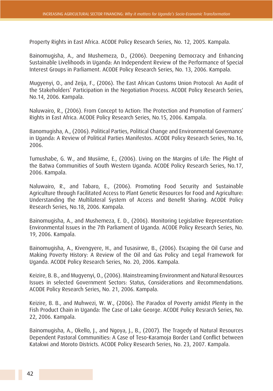Property Rights in East Africa. ACODE Policy Research Series, No. 12, 2005. Kampala.

Bainomugisha, A., and Mushemeza, D., (2006). Deepening Democracy and Enhancing Sustainable Livelihoods in Uganda: An Independent Review of the Performance of Special Interest Groups in Parliament. ACODE Policy Research Series, No. 13, 2006. Kampala.

Mugyenyi, O., and Zeija, F., (2006). The East African Customs Union Protocol: An Audit of the Stakeholders' Participation in the Negotiation Process. ACODE Policy Research Series, No.14, 2006. Kampala.

Naluwairo, R., (2006). From Concept to Action: The Protection and Promotion of Farmers' Rights in East Africa. ACODE Policy Research Series, No.15, 2006. Kampala.

Banomugisha, A., (2006). Political Parties, Political Change and Environmental Governance in Uganda: A Review of Political Parties Manifestos. ACODE Policy Research Series, No.16, 2006.

Tumushabe, G. W., and Musiime, E., (2006). Living on the Margins of Life: The Plight of the Batwa Communities of South Western Uganda. ACODE Policy Research Series, No.17, 2006. Kampala.

Naluwairo, R., and Tabaro, E., (2006). Promoting Food Security and Sustainable Agriculture through Facilitated Access to Plant Genetic Resources for Food and Agriculture: Understanding the Multilateral System of Access and Benefit Sharing. ACODE Policy Research Series, No.18, 2006. Kampala.

Bainomugisha, A., and Mushemeza, E. D., (2006). Monitoring Legislative Representation: Environmental Issues in the 7th Parliament of Uganda. ACODE Policy Research Series, No. 19, 2006. Kampala.

Bainomugisha, A., Kivengyere, H., and Tusasirwe, B., (2006). Escaping the Oil Curse and Making Poverty History: A Review of the Oil and Gas Policy and Legal Framework for Uganda. ACODE Policy Research Series, No. 20, 2006. Kampala.

Keizire, B. B., and Mugyenyi, O., (2006). Mainstreaming Environment and Natural Resources Issues in selected Government Sectors: Status, Considerations and Recommendations. ACODE Policy Research Series, No. 21, 2006. Kampala.

Keizire, B. B., and Muhwezi, W. W., (2006). The Paradox of Poverty amidst Plenty in the Fish Product Chain in Uganda: The Case of Lake George. ACODE Policy Resrarch Series, No. 22, 2006. Kampala.

Bainomugisha, A., Okello, J., and Ngoya, J., B., (2007). The Tragedy of Natural Resources Dependent Pastoral Communities: A Case of Teso-Karamoja Border Land Conflict between Katakwi and Moroto Districts. ACODE Policy Research Series, No. 23, 2007. Kampala.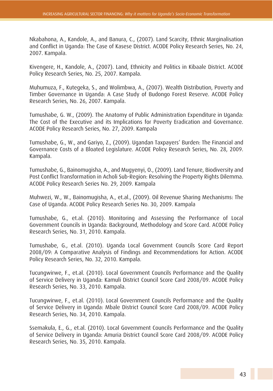Nkabahona, A., Kandole, A., and Banura, C., (2007). Land Scarcity, Ethnic Marginalisation and Conflict in Uganda: The Case of Kasese District. ACODE Policy Research Series, No. 24, 2007. Kampala.

Kivengere, H., Kandole, A., (2007). Land, Ethnicity and Politics in Kibaale District. ACODE Policy Research Series, No. 25, 2007. Kampala.

Muhumuza, F., Kutegeka, S., and Wolimbwa, A., (2007). Wealth Distribution, Poverty and Timber Governance in Uganda: A Case Study of Budongo Forest Reserve. ACODE Policy Research Series, No. 26, 2007. Kampala.

Tumushabe, G. W., (2009). The Anatomy of Public Administration Expenditure in Uganda: The Cost of the Executive and its Implications for Poverty Eradication and Governance. ACODE Policy Research Series, No. 27, 2009. Kampala

Tumushabe, G., W., and Gariyo, Z., (2009). Ugandan Taxpayers' Burden: The Financial and Governance Costs of a Bloated Legislature. ACODE Policy Research Series, No. 28, 2009. Kampala.

Tumushabe, G., Bainomugisha, A., and Mugyenyi, O., (2009). Land Tenure, Biodiversity and Post Conflict Transformation in Acholi Sub-Region: Resolving the Property Rights Dilemma. ACODE Policy Research Series No. 29, 2009. Kampala

Muhwezi, W., W., Bainomugisha, A., et.al., (2009). Oil Revenue Sharing Mechanisms: The Case of Uganda. ACODE Policy Research Series No. 30, 2009. Kampala

Tumushabe, G., et.al. (2010). Monitoring and Assessing the Performance of Local Government Councils in Uganda: Background, Methodology and Score Card. ACODE Policy Research Series, No. 31, 2010. Kampala.

Tumushabe, G., et.al. (2010). Uganda Local Government Councils Score Card Report 2008/09: A Comparative Analysis of Findings and Recommendations for Action. ACODE Policy Research Series, No. 32, 2010. Kampala.

Tucungwirwe, F., et.al. (2010). Local Government Councils Performance and the Quality of Service Delivery in Uganda: Kamuli District Council Score Card 2008/09. ACODE Policy Research Series, No. 33, 2010. Kampala.

Tucungwirwe, F., et.al. (2010). Local Government Councils Performance and the Quality of Service Delivery in Uganda: Mbale District Council Score Card 2008/09. ACODE Policy Research Series, No. 34, 2010. Kampala.

Ssemakula, E., G., et.al. (2010). Local Government Councils Performance and the Quality of Service Delivery in Uganda: Amuria District Council Score Card 2008/09. ACODE Policy Research Series, No. 35, 2010. Kampala.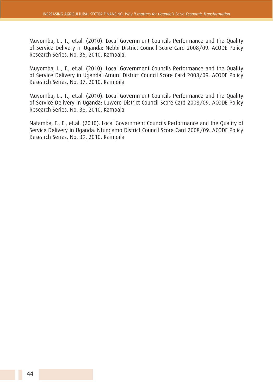Muyomba, L., T., et.al. (2010). Local Government Councils Performance and the Quality of Service Delivery in Uganda: Nebbi District Council Score Card 2008/09. ACODE Policy Research Series, No. 36, 2010. Kampala.

Muyomba, L., T., et.al. (2010). Local Government Councils Performance and the Quality of Service Delivery in Uganda: Amuru District Council Score Card 2008/09. ACODE Policy Research Series, No. 37, 2010. Kampala

Muyomba, L., T., et.al. (2010). Local Government Councils Performance and the Quality of Service Delivery in Uganda: Luwero District Council Score Card 2008/09. ACODE Policy Research Series, No. 38, 2010. Kampala

Natamba, F., E., et.al. (2010). Local Government Councils Performance and the Quality of Service Delivery in Uganda: Ntungamo District Council Score Card 2008/09. ACODE Policy Research Series, No. 39, 2010. Kampala